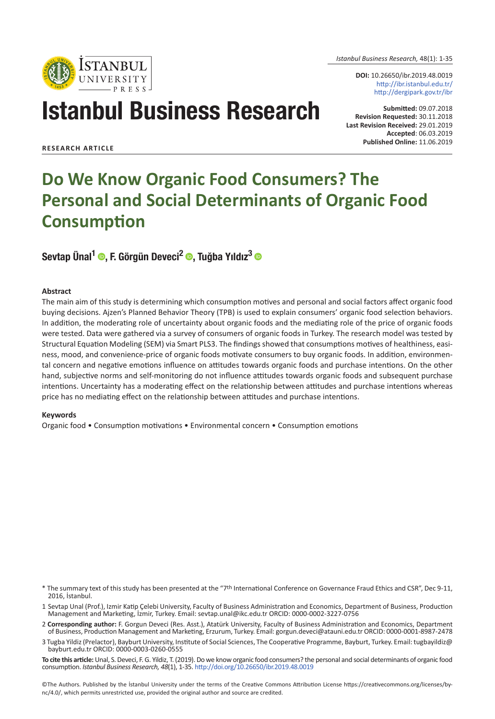

*Istanbul Business Research,* 48(1): 1-35

**DOI:** 10.26650/ibr.2019.48.0019 http://ibr.istanbul.edu.tr/ http://dergipark.gov.tr/ibr

# Istanbul Business Research

**Submitted:** 09.07.2018 **Revision Requested:** 30.11.2018 **Last Revision Received:** 29.01.2019 **Accepted**: 06.03.2019 **Published Online:** 11.06.2019

**RESEARCH ARTICLE**

# **Do We Know Organic Food Consumers? The Personal and Social Determinants of Organic Food Consumption**

Sevtap Ünal<sup>1</sup> ©, F. Görgün Deveci<sup>2</sup> ©, Tuğba Yıldız<sup>3</sup> ©

#### **Abstract**

The main aim of this study is determining which consumption motives and personal and social factors affect organic food buying decisions. Ajzen's Planned Behavior Theory (TPB) is used to explain consumers' organic food selection behaviors. In addition, the moderating role of uncertainty about organic foods and the mediating role of the price of organic foods were tested. Data were gathered via a survey of consumers of organic foods in Turkey. The research model was tested by Structural Equation Modeling (SEM) via Smart PLS3. The findings showed that consumptions motives of healthiness, easiness, mood, and convenience-price of organic foods motivate consumers to buy organic foods. In addition, environmental concern and negative emotions influence on attitudes towards organic foods and purchase intentions. On the other hand, subjective norms and self-monitoring do not influence attitudes towards organic foods and subsequent purchase intentions. Uncertainty has a moderating effect on the relationship between attitudes and purchase intentions whereas price has no mediating effect on the relationship between attitudes and purchase intentions.

#### **Keywords**

Organic food • Consumption motivations • Environmental concern • Consumption emotions

- \* The summary text of this study has been presented at the "7th International Conference on Governance Fraud Ethics and CSR", Dec 9-11, 2016, İstanbul.
- 1 Sevtap Unal (Prof.), Izmir Katip Çelebi University, Faculty of Business Administration and Economics, Department of Business, Production Management and Marketing, İzmir, Turkey. Email: sevtap.unal@ikc.edu.tr ORCID: 0000-0002-3227-0756
- 2 **Corresponding author:** F. Gorgun Deveci (Res. Asst.), Atatürk University, Faculty of Business Administration and Economics, Department of Business, Production Management and Marketing, Erzurum, Turkey. Email: gorgun.deveci@atauni.edu.tr ORCID: 0000-0001-8987-2478
- 3 Tugba Yildiz (Prelactor), Bayburt University, Institute of Social Sciences, The Cooperative Programme, Bayburt, Turkey. Email: tugbayildiz@ bayburt.edu.tr ORCID: 0000-0003-0260-0555
- **To cite this article:** Unal, S. Deveci, F. G. Yildiz, T. (2019). Do we know organic food consumers? the personal and social determinants of organic food consumption. *Istanbul Business Research, 48*(1), 1-35. http://doi.org/10.26650/ibr.2019.48.0019

©The Authors. Published by the İstanbul University under the terms of the Creative Commons Attribution License https://creativecommons.org/licenses/bync/4.0/, which permits unrestricted use, provided the original author and source are credited.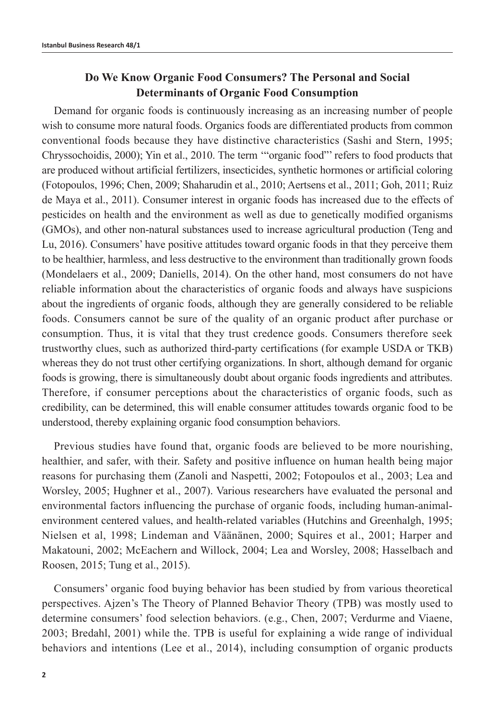# **Do We Know Organic Food Consumers? The Personal and Social Determinants of Organic Food Consumption**

Demand for organic foods is continuously increasing as an increasing number of people wish to consume more natural foods. Organics foods are differentiated products from common conventional foods because they have distinctive characteristics (Sashi and Stern, 1995; Chryssochoidis, 2000); Yin et al., 2010. The term '"organic food"' refers to food products that are produced without artificial fertilizers, insecticides, synthetic hormones or artificial coloring (Fotopoulos, 1996; Chen, 2009; Shaharudin et al., 2010; Aertsens et al., 2011; Goh, 2011; Ruiz de Maya et al., 2011). Consumer interest in organic foods has increased due to the effects of pesticides on health and the environment as well as due to genetically modified organisms (GMOs), and other non-natural substances used to increase agricultural production (Teng and Lu, 2016). Consumers' have positive attitudes toward organic foods in that they perceive them to be healthier, harmless, and less destructive to the environment than traditionally grown foods (Mondelaers et al., 2009; Daniells, 2014). On the other hand, most consumers do not have reliable information about the characteristics of organic foods and always have suspicions about the ingredients of organic foods, although they are generally considered to be reliable foods. Consumers cannot be sure of the quality of an organic product after purchase or consumption. Thus, it is vital that they trust credence goods. Consumers therefore seek trustworthy clues, such as authorized third-party certifications (for example USDA or TKB) whereas they do not trust other certifying organizations. In short, although demand for organic foods is growing, there is simultaneously doubt about organic foods ingredients and attributes. Therefore, if consumer perceptions about the characteristics of organic foods, such as credibility, can be determined, this will enable consumer attitudes towards organic food to be understood, thereby explaining organic food consumption behaviors.

Previous studies have found that, organic foods are believed to be more nourishing, healthier, and safer, with their. Safety and positive influence on human health being major reasons for purchasing them (Zanoli and Naspetti, 2002; Fotopoulos et al., 2003; Lea and Worsley, 2005; Hughner et al., 2007). Various researchers have evaluated the personal and environmental factors influencing the purchase of organic foods, including human-animalenvironment centered values, and health-related variables (Hutchins and Greenhalgh, 1995; Nielsen et al, 1998; Lindeman and Väänänen, 2000; Squires et al., 2001; Harper and Makatouni, 2002; McEachern and Willock, 2004; Lea and Worsley, 2008; Hasselbach and Roosen, 2015; Tung et al., 2015).

Consumers' organic food buying behavior has been studied by from various theoretical perspectives. Ajzen's The Theory of Planned Behavior Theory (TPB) was mostly used to determine consumers' food selection behaviors. (e.g., Chen, 2007; Verdurme and Viaene, 2003; Bredahl, 2001) while the. TPB is useful for explaining a wide range of individual behaviors and intentions (Lee et al., 2014), including consumption of organic products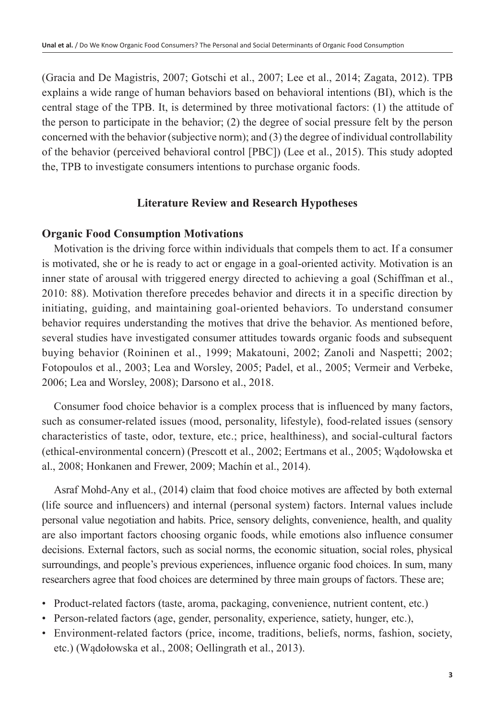(Gracia and De Magistris, 2007; Gotschi et al., 2007; Lee et al., 2014; Zagata, 2012). TPB explains a wide range of human behaviors based on behavioral intentions (BI), which is the central stage of the TPB. It, is determined by three motivational factors: (1) the attitude of the person to participate in the behavior; (2) the degree of social pressure felt by the person concerned with the behavior (subjective norm); and (3) the degree of individual controllability of the behavior (perceived behavioral control [PBC]) (Lee et al., 2015). This study adopted the, TPB to investigate consumers intentions to purchase organic foods.

# **Literature Review and Research Hypotheses**

# **Organic Food Consumption Motivations**

Motivation is the driving force within individuals that compels them to act. If a consumer is motivated, she or he is ready to act or engage in a goal-oriented activity. Motivation is an inner state of arousal with triggered energy directed to achieving a goal (Schiffman et al., 2010: 88). Motivation therefore precedes behavior and directs it in a specific direction by initiating, guiding, and maintaining goal-oriented behaviors. To understand consumer behavior requires understanding the motives that drive the behavior. As mentioned before, several studies have investigated consumer attitudes towards organic foods and subsequent buying behavior (Roininen et al., 1999; Makatouni, 2002; Zanoli and Naspetti; 2002; Fotopoulos et al., 2003; Lea and Worsley, 2005; Padel, et al., 2005; Vermeir and Verbeke, 2006; Lea and Worsley, 2008); Darsono et al., 2018.

Consumer food choice behavior is a complex process that is influenced by many factors, such as consumer-related issues (mood, personality, lifestyle), food-related issues (sensory characteristics of taste, odor, texture, etc.; price, healthiness), and social-cultural factors (ethical-environmental concern) (Prescott et al., 2002; Eertmans et al., 2005; Wądołowska et al., 2008; Honkanen and Frewer, 2009; Machín et al., 2014).

Asraf Mohd-Any et al., (2014) claim that food choice motives are affected by both external (life source and influencers) and internal (personal system) factors. Internal values include personal value negotiation and habits. Price, sensory delights, convenience, health, and quality are also important factors choosing organic foods, while emotions also influence consumer decisions. External factors, such as social norms, the economic situation, social roles, physical surroundings, and people's previous experiences, influence organic food choices. In sum, many researchers agree that food choices are determined by three main groups of factors. These are;

- Product-related factors (taste, aroma, packaging, convenience, nutrient content, etc.)
- Person-related factors (age, gender, personality, experience, satiety, hunger, etc.),
- Environment-related factors (price, income, traditions, beliefs, norms, fashion, society, etc.) (Wądołowska et al., 2008; Oellingrath et al., 2013).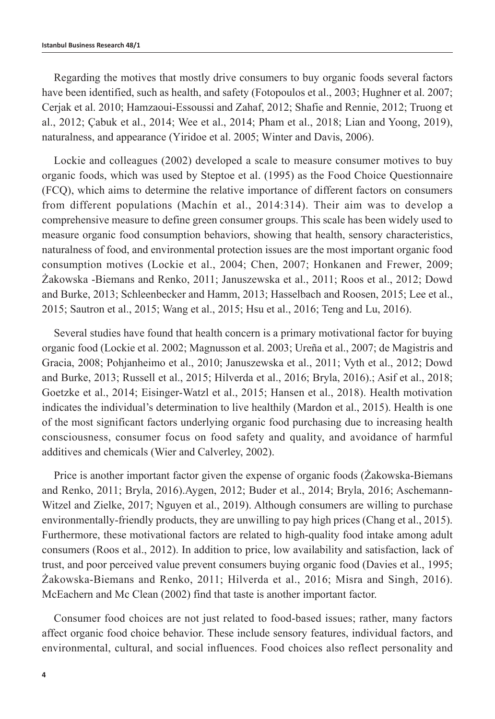Regarding the motives that mostly drive consumers to buy organic foods several factors have been identified, such as health, and safety (Fotopoulos et al., 2003; Hughner et al. 2007; Cerjak et al. 2010; Hamzaoui-Essoussi and Zahaf, 2012; Shafie and Rennie, 2012; Truong et al., 2012; Çabuk et al., 2014; Wee et al., 2014; Pham et al., 2018; Lian and Yoong, 2019), naturalness, and appearance (Yiridoe et al. 2005; Winter and Davis, 2006).

Lockie and colleagues (2002) developed a scale to measure consumer motives to buy organic foods, which was used by Steptoe et al. (1995) as the Food Choice Questionnaire (FCQ), which aims to determine the relative importance of different factors on consumers from different populations (Machín et al., 2014:314). Their aim was to develop a comprehensive measure to define green consumer groups. This scale has been widely used to measure organic food consumption behaviors, showing that health, sensory characteristics, naturalness of food, and environmental protection issues are the most important organic food consumption motives (Lockie et al., 2004; Chen, 2007; Honkanen and Frewer, 2009; Żakowska -Biemans and Renko, 2011; Januszewska et al., 2011; Roos et al., 2012; Dowd and Burke, 2013; Schleenbecker and Hamm, 2013; Hasselbach and Roosen, 2015; Lee et al., 2015; Sautron et al., 2015; Wang et al., 2015; Hsu et al., 2016; Teng and Lu, 2016).

Several studies have found that health concern is a primary motivational factor for buying organic food (Lockie et al. 2002; Magnusson et al. 2003; Ureña et al., 2007; de Magistris and Gracia, 2008; Pohjanheimo et al., 2010; Januszewska et al., 2011; Vyth et al., 2012; Dowd and Burke, 2013; Russell et al., 2015; Hilverda et al., 2016; Bryla, 2016).; Asif et al., 2018; Goetzke et al., 2014; Eisinger-Watzl et al., 2015; Hansen et al., 2018). Health motivation indicates the individual's determination to live healthily (Mardon et al., 2015). Health is one of the most significant factors underlying organic food purchasing due to increasing health consciousness, consumer focus on food safety and quality, and avoidance of harmful additives and chemicals (Wier and Calverley, 2002).

Price is another important factor given the expense of organic foods (Żakowska-Biemans and Renko, 2011; Bryla, 2016). Aygen, 2012; Buder et al., 2014; Bryla, 2016; Aschemann-Witzel and Zielke, 2017; Nguyen et al., 2019). Although consumers are willing to purchase environmentally-friendly products, they are unwilling to pay high prices (Chang et al., 2015). Furthermore, these motivational factors are related to high-quality food intake among adult consumers (Roos et al., 2012). In addition to price, low availability and satisfaction, lack of trust, and poor perceived value prevent consumers buying organic food (Davies et al., 1995; Żakowska-Biemans and Renko, 2011; Hilverda et al., 2016; Misra and Singh, 2016). McEachern and Mc Clean (2002) find that taste is another important factor.

Consumer food choices are not just related to food-based issues; rather, many factors affect organic food choice behavior. These include sensory features, individual factors, and environmental, cultural, and social influences. Food choices also reflect personality and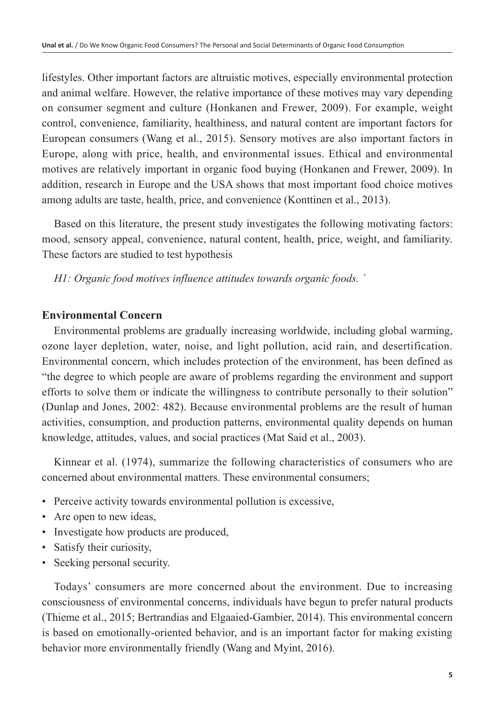lifestyles. Other important factors are altruistic motives, especially environmental protection and animal welfare. However, the relative importance of these motives may vary depending on consumer segment and culture (Honkanen and Frewer, 2009). For example, weight control, convenience, familiarity, healthiness, and natural content are important factors for European consumers (Wang et al., 2015). Sensory motives are also important factors in Europe, along with price, health, and environmental issues. Ethical and environmental motives are relatively important in organic food buying (Honkanen and Frewer, 2009). In addition, research in Europe and the USA shows that most important food choice motives among adults are taste, health, price, and convenience (Konttinen et al., 2013).

Based on this literature, the present study investigates the following motivating factors: mood, sensory appeal, convenience, natural content, health, price, weight, and familiarity. These factors are studied to test hypothesis

*H1: Organic food motives influence attitudes towards organic foods. `*

# **Environmental Concern**

Environmental problems are gradually increasing worldwide, including global warming, ozone layer depletion, water, noise, and light pollution, acid rain, and desertification. Environmental concern, which includes protection of the environment, has been defined as "the degree to which people are aware of problems regarding the environment and support efforts to solve them or indicate the willingness to contribute personally to their solution" (Dunlap and Jones, 2002: 482). Because environmental problems are the result of human activities, consumption, and production patterns, environmental quality depends on human knowledge, attitudes, values, and social practices (Mat Said et al., 2003).

Kinnear et al. (1974), summarize the following characteristics of consumers who are concerned about environmental matters. These environmental consumers;

- Perceive activity towards environmental pollution is excessive,
- Are open to new ideas,
- Investigate how products are produced,
- Satisfy their curiosity,
- Seeking personal security.

Todays' consumers are more concerned about the environment. Due to increasing consciousness of environmental concerns, individuals have begun to prefer natural products (Thieme et al., 2015; Bertrandias and Elgaaied-Gambier, 2014). This environmental concern is based on emotionally-oriented behavior, and is an important factor for making existing behavior more environmentally friendly (Wang and Myint, 2016).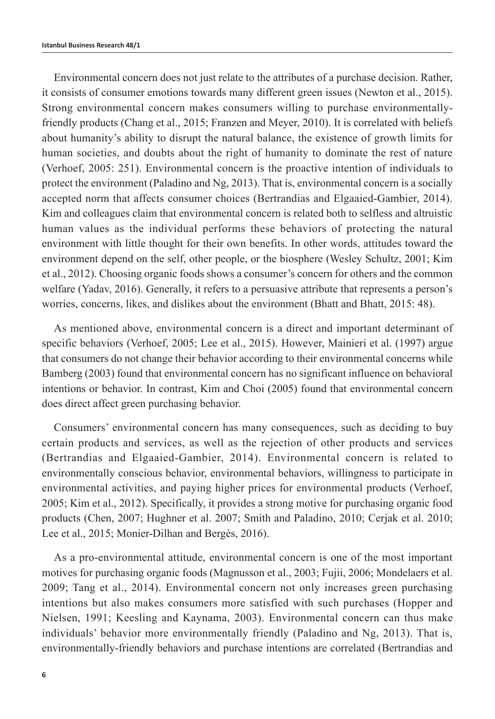Environmental concern does not just relate to the attributes of a purchase decision. Rather, it consists of consumer emotions towards many different green issues (Newton et al., 2015). Strong environmental concern makes consumers willing to purchase environmentallyfriendly products (Chang et al., 2015; Franzen and Meyer, 2010). It is correlated with beliefs about humanity's ability to disrupt the natural balance, the existence of growth limits for human societies, and doubts about the right of humanity to dominate the rest of nature (Verhoef, 2005: 251). Environmental concern is the proactive intention of individuals to protect the environment (Paladino and Ng, 2013). That is, environmental concern is a socially accepted norm that affects consumer choices (Bertrandias and Elgaaied-Gambier, 2014). Kim and colleagues claim that environmental concern is related both to selfless and altruistic human values as the individual performs these behaviors of protecting the natural environment with little thought for their own benefits. In other words, attitudes toward the environment depend on the self, other people, or the biosphere (Wesley Schultz, 2001; Kim et al., 2012). Choosing organic foods shows a consumer's concern for others and the common welfare (Yadav, 2016). Generally, it refers to a persuasive attribute that represents a person's worries, concerns, likes, and dislikes about the environment (Bhatt and Bhatt, 2015: 48).

As mentioned above, environmental concern is a direct and important determinant of specific behaviors (Verhoef, 2005; Lee et al., 2015). However, Mainieri et al. (1997) argue that consumers do not change their behavior according to their environmental concerns while Bamberg (2003) found that environmental concern has no significant influence on behavioral intentions or behavior. In contrast, Kim and Choi (2005) found that environmental concern does direct affect green purchasing behavior.

Consumers' environmental concern has many consequences, such as deciding to buy certain products and services, as well as the rejection of other products and services (Bertrandias and Elgaaied-Gambier, 2014). Environmental concern is related to environmentally conscious behavior, environmental behaviors, willingness to participate in environmental activities, and paying higher prices for environmental products (Verhoef, 2005; Kim et al., 2012). Specifically, it provides a strong motive for purchasing organic food products (Chen, 2007; Hughner et al. 2007; Smith and Paladino, 2010; Cerjak et al. 2010; Lee et al., 2015; Monier-Dilhan and Bergès, 2016).

As a pro-environmental attitude, environmental concern is one of the most important motives for purchasing organic foods (Magnusson et al., 2003; Fujii, 2006; Mondelaers et al. 2009; Tang et al., 2014). Environmental concern not only increases green purchasing intentions but also makes consumers more satisfied with such purchases (Hopper and Nielsen, 1991; Keesling and Kaynama, 2003). Environmental concern can thus make individuals' behavior more environmentally friendly (Paladino and Ng, 2013). That is, environmentally-friendly behaviors and purchase intentions are correlated (Bertrandias and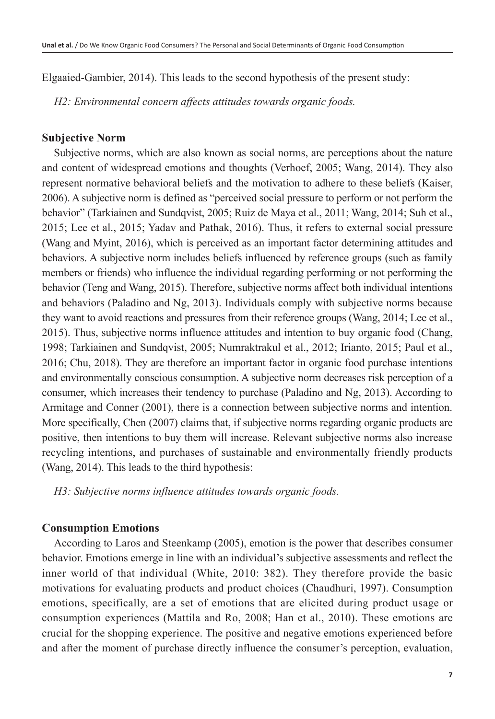Elgaaied-Gambier, 2014). This leads to the second hypothesis of the present study:

*H2: Environmental concern affects attitudes towards organic foods.*

## **Subjective Norm**

Subjective norms, which are also known as social norms, are perceptions about the nature and content of widespread emotions and thoughts (Verhoef, 2005; Wang, 2014). They also represent normative behavioral beliefs and the motivation to adhere to these beliefs (Kaiser, 2006). A subjective norm is defined as "perceived social pressure to perform or not perform the behavior" (Tarkiainen and Sundqvist, 2005; Ruiz de Maya et al., 2011; Wang, 2014; Suh et al., 2015; Lee et al., 2015; Yadav and Pathak, 2016). Thus, it refers to external social pressure (Wang and Myint, 2016), which is perceived as an important factor determining attitudes and behaviors. A subjective norm includes beliefs influenced by reference groups (such as family members or friends) who influence the individual regarding performing or not performing the behavior (Teng and Wang, 2015). Therefore, subjective norms affect both individual intentions and behaviors (Paladino and Ng, 2013). Individuals comply with subjective norms because they want to avoid reactions and pressures from their reference groups (Wang, 2014; Lee et al., 2015). Thus, subjective norms influence attitudes and intention to buy organic food (Chang, 1998; Tarkiainen and Sundqvist, 2005; Numraktrakul et al., 2012; Irianto, 2015; Paul et al., 2016; Chu, 2018). They are therefore an important factor in organic food purchase intentions and environmentally conscious consumption. A subjective norm decreases risk perception of a consumer, which increases their tendency to purchase (Paladino and Ng, 2013). According to Armitage and Conner (2001), there is a connection between subjective norms and intention. More specifically, Chen (2007) claims that, if subjective norms regarding organic products are positive, then intentions to buy them will increase. Relevant subjective norms also increase recycling intentions, and purchases of sustainable and environmentally friendly products (Wang, 2014). This leads to the third hypothesis:

*H3: Subjective norms influence attitudes towards organic foods.*

# **Consumption Emotions**

According to Laros and Steenkamp (2005), emotion is the power that describes consumer behavior. Emotions emerge in line with an individual's subjective assessments and reflect the inner world of that individual (White, 2010: 382). They therefore provide the basic motivations for evaluating products and product choices (Chaudhuri, 1997). Consumption emotions, specifically, are a set of emotions that are elicited during product usage or consumption experiences (Mattila and Ro, 2008; Han et al., 2010). These emotions are crucial for the shopping experience. The positive and negative emotions experienced before and after the moment of purchase directly influence the consumer's perception, evaluation,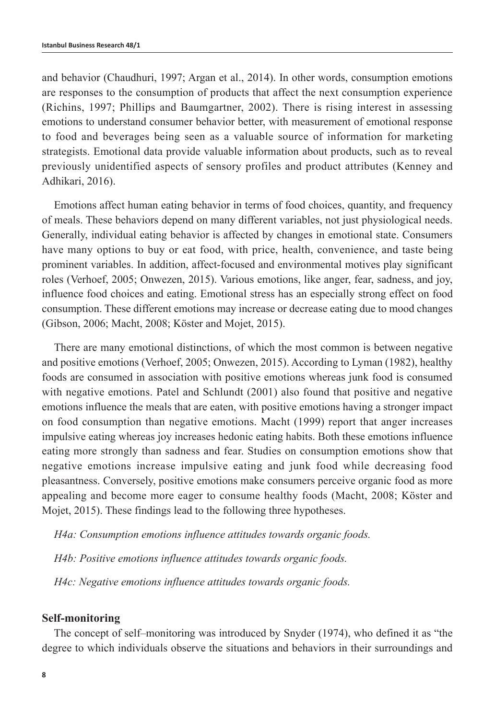and behavior (Chaudhuri, 1997; Argan et al., 2014). In other words, consumption emotions are responses to the consumption of products that affect the next consumption experience (Richins, 1997; Phillips and Baumgartner, 2002). There is rising interest in assessing emotions to understand consumer behavior better, with measurement of emotional response to food and beverages being seen as a valuable source of information for marketing strategists. Emotional data provide valuable information about products, such as to reveal previously unidentified aspects of sensory profiles and product attributes (Kenney and Adhikari, 2016).

Emotions affect human eating behavior in terms of food choices, quantity, and frequency of meals. These behaviors depend on many different variables, not just physiological needs. Generally, individual eating behavior is affected by changes in emotional state. Consumers have many options to buy or eat food, with price, health, convenience, and taste being prominent variables. In addition, affect-focused and environmental motives play significant roles (Verhoef, 2005; Onwezen, 2015). Various emotions, like anger, fear, sadness, and joy, influence food choices and eating. Emotional stress has an especially strong effect on food consumption. These different emotions may increase or decrease eating due to mood changes (Gibson, 2006; Macht, 2008; Köster and Mojet, 2015).

There are many emotional distinctions, of which the most common is between negative and positive emotions (Verhoef, 2005; Onwezen, 2015). According to Lyman (1982), healthy foods are consumed in association with positive emotions whereas junk food is consumed with negative emotions. Patel and Schlundt (2001) also found that positive and negative emotions influence the meals that are eaten, with positive emotions having a stronger impact on food consumption than negative emotions. Macht (1999) report that anger increases impulsive eating whereas joy increases hedonic eating habits. Both these emotions influence eating more strongly than sadness and fear. Studies on consumption emotions show that negative emotions increase impulsive eating and junk food while decreasing food pleasantness. Conversely, positive emotions make consumers perceive organic food as more appealing and become more eager to consume healthy foods (Macht, 2008; Köster and Mojet, 2015). These findings lead to the following three hypotheses.

*H4a: Consumption emotions influence attitudes towards organic foods.* 

*H4b: Positive emotions influence attitudes towards organic foods.*

*H4c: Negative emotions influence attitudes towards organic foods.* 

#### **Self-monitoring**

The concept of self–monitoring was introduced by Snyder (1974), who defined it as "the degree to which individuals observe the situations and behaviors in their surroundings and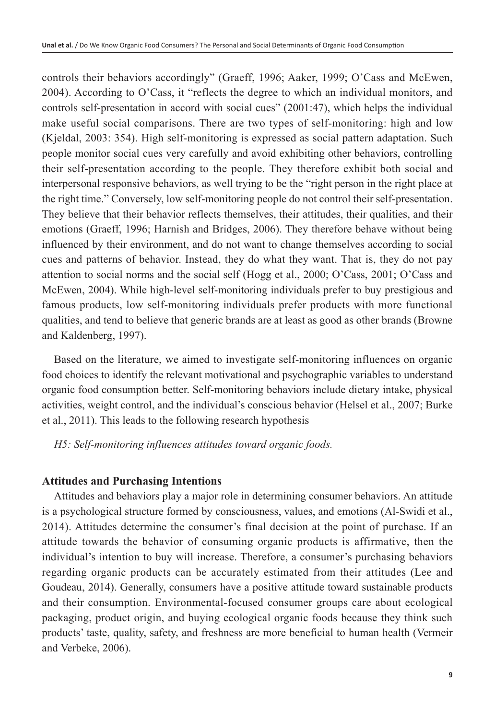controls their behaviors accordingly" (Graeff, 1996; Aaker, 1999; O'Cass and McEwen, 2004). According to O'Cass, it "reflects the degree to which an individual monitors, and controls self-presentation in accord with social cues" (2001:47), which helps the individual make useful social comparisons. There are two types of self-monitoring: high and low (Kjeldal, 2003: 354). High self-monitoring is expressed as social pattern adaptation. Such people monitor social cues very carefully and avoid exhibiting other behaviors, controlling their self-presentation according to the people. They therefore exhibit both social and interpersonal responsive behaviors, as well trying to be the "right person in the right place at the right time." Conversely, low self-monitoring people do not control their self-presentation. They believe that their behavior reflects themselves, their attitudes, their qualities, and their emotions (Graeff, 1996; Harnish and Bridges, 2006). They therefore behave without being influenced by their environment, and do not want to change themselves according to social cues and patterns of behavior. Instead, they do what they want. That is, they do not pay attention to social norms and the social self (Hogg et al., 2000; O'Cass, 2001; O'Cass and McEwen, 2004). While high-level self-monitoring individuals prefer to buy prestigious and famous products, low self-monitoring individuals prefer products with more functional qualities, and tend to believe that generic brands are at least as good as other brands (Browne and Kaldenberg, 1997).

Based on the literature, we aimed to investigate self-monitoring influences on organic food choices to identify the relevant motivational and psychographic variables to understand organic food consumption better. Self-monitoring behaviors include dietary intake, physical activities, weight control, and the individual's conscious behavior (Helsel et al., 2007; Burke et al., 2011). This leads to the following research hypothesis

*H5: Self-monitoring influences attitudes toward organic foods.*

# **Attitudes and Purchasing Intentions**

Attitudes and behaviors play a major role in determining consumer behaviors. An attitude is a psychological structure formed by consciousness, values, and emotions (Al-Swidi et al., 2014). Attitudes determine the consumer's final decision at the point of purchase. If an attitude towards the behavior of consuming organic products is affirmative, then the individual's intention to buy will increase. Therefore, a consumer's purchasing behaviors regarding organic products can be accurately estimated from their attitudes (Lee and Goudeau, 2014). Generally, consumers have a positive attitude toward sustainable products and their consumption. Environmental-focused consumer groups care about ecological packaging, product origin, and buying ecological organic foods because they think such products' taste, quality, safety, and freshness are more beneficial to human health (Vermeir and Verbeke, 2006).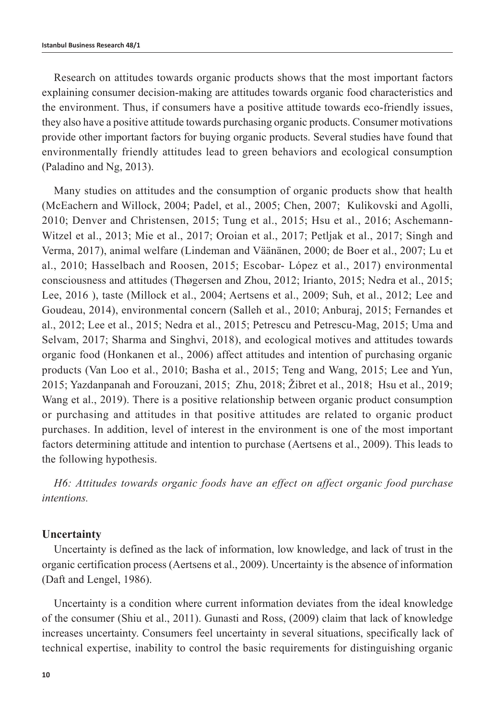Research on attitudes towards organic products shows that the most important factors explaining consumer decision-making are attitudes towards organic food characteristics and the environment. Thus, if consumers have a positive attitude towards eco-friendly issues, they also have a positive attitude towards purchasing organic products. Consumer motivations provide other important factors for buying organic products. Several studies have found that environmentally friendly attitudes lead to green behaviors and ecological consumption (Paladino and Ng, 2013).

Many studies on attitudes and the consumption of organic products show that health (McEachern and Willock, 2004; Padel, et al., 2005; Chen, 2007; Kulikovski and Agolli, 2010; Denver and Christensen, 2015; Tung et al., 2015; Hsu et al., 2016; Aschemann-Witzel et al., 2013; Mie et al., 2017; Oroian et al., 2017; Petljak et al., 2017; Singh and Verma, 2017), animal welfare (Lindeman and Väänänen, 2000; de Boer et al., 2007; Lu et al., 2010; Hasselbach and Roosen, 2015; Escobar- López et al., 2017) environmental consciousness and attitudes (Thøgersen and Zhou, 2012; Irianto, 2015; Nedra et al., 2015; Lee, 2016 ), taste (Millock et al., 2004; Aertsens et al., 2009; Suh, et al., 2012; Lee and Goudeau, 2014), environmental concern (Salleh et al., 2010; Anburaj, 2015; Fernandes et al., 2012; Lee et al., 2015; Nedra et al., 2015; Petrescu and Petrescu-Mag, 2015; Uma and Selvam, 2017; Sharma and Singhvi, 2018), and ecological motives and attitudes towards organic food (Honkanen et al., 2006) affect attitudes and intention of purchasing organic products (Van Loo et al., 2010; Basha et al., 2015; Teng and Wang, 2015; Lee and Yun, 2015; Yazdanpanah and Forouzani, 2015; Zhu, 2018; Žibret et al., 2018; Hsu et al., 2019; Wang et al., 2019). There is a positive relationship between organic product consumption or purchasing and attitudes in that positive attitudes are related to organic product purchases. In addition, level of interest in the environment is one of the most important factors determining attitude and intention to purchase (Aertsens et al., 2009). This leads to the following hypothesis.

*H6: Attitudes towards organic foods have an effect on affect organic food purchase intentions.*

#### **Uncertainty**

Uncertainty is defined as the lack of information, low knowledge, and lack of trust in the organic certification process (Aertsens et al., 2009). Uncertainty is the absence of information (Daft and Lengel, 1986).

Uncertainty is a condition where current information deviates from the ideal knowledge of the consumer (Shiu et al., 2011). Gunasti and Ross, (2009) claim that lack of knowledge increases uncertainty. Consumers feel uncertainty in several situations, specifically lack of technical expertise, inability to control the basic requirements for distinguishing organic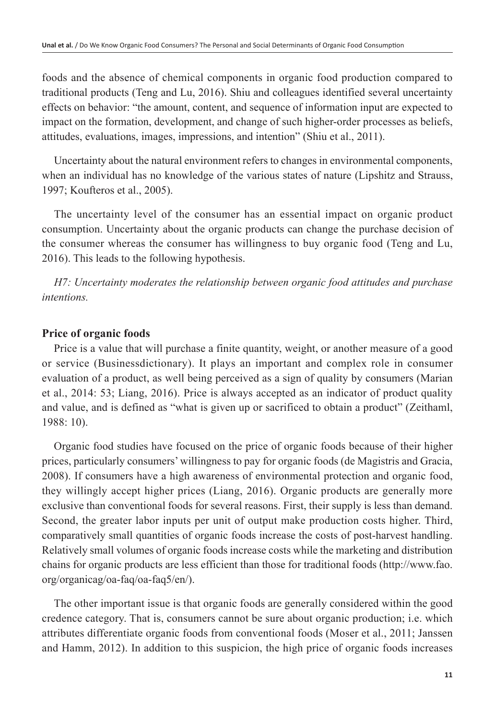foods and the absence of chemical components in organic food production compared to traditional products (Teng and Lu, 2016). Shiu and colleagues identified several uncertainty effects on behavior: "the amount, content, and sequence of information input are expected to impact on the formation, development, and change of such higher-order processes as beliefs, attitudes, evaluations, images, impressions, and intention" (Shiu et al., 2011).

Uncertainty about the natural environment refers to changes in environmental components, when an individual has no knowledge of the various states of nature (Lipshitz and Strauss, 1997; Koufteros et al., 2005).

The uncertainty level of the consumer has an essential impact on organic product consumption. Uncertainty about the organic products can change the purchase decision of the consumer whereas the consumer has willingness to buy organic food (Teng and Lu, 2016). This leads to the following hypothesis.

*H7: Uncertainty moderates the relationship between organic food attitudes and purchase intentions.*

# **Price of organic foods**

Price is a value that will purchase a finite quantity, weight, or another measure of a good or service (Businessdictionary). It plays an important and complex role in consumer evaluation of a product, as well being perceived as a sign of quality by consumers (Marian et al., 2014: 53; Liang, 2016). Price is always accepted as an indicator of product quality and value, and is defined as "what is given up or sacrificed to obtain a product" (Zeithaml, 1988: 10).

Organic food studies have focused on the price of organic foods because of their higher prices, particularly consumers' willingness to pay for organic foods (de Magistris and Gracia, 2008). If consumers have a high awareness of environmental protection and organic food, they willingly accept higher prices (Liang, 2016). Organic products are generally more exclusive than conventional foods for several reasons. First, their supply is less than demand. Second, the greater labor inputs per unit of output make production costs higher. Third, comparatively small quantities of organic foods increase the costs of post-harvest handling. Relatively small volumes of organic foods increase costs while the marketing and distribution chains for organic products are less efficient than those for traditional foods [\(http://www.fao.](http://www.fao.org/organicag/oa-faq/oa-faq5/en/) [org/organicag/oa-faq/oa-faq5/en/](http://www.fao.org/organicag/oa-faq/oa-faq5/en/)).

The other important issue is that organic foods are generally considered within the good credence category. That is, consumers cannot be sure about organic production; i.e. which attributes differentiate organic foods from conventional foods (Moser et al., 2011; Janssen and Hamm, 2012). In addition to this suspicion, the high price of organic foods increases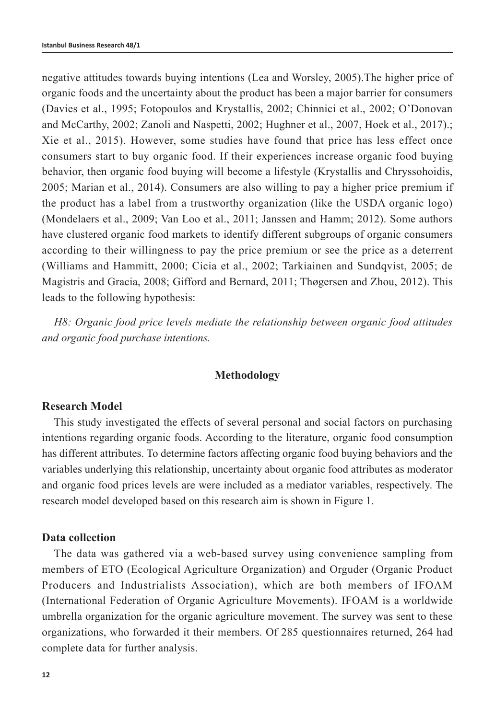negative attitudes towards buying intentions (Lea and Worsley, 2005).The higher price of organic foods and the uncertainty about the product has been a major barrier for consumers (Davies et al., 1995; Fotopoulos and Krystallis, 2002; Chinnici et al., 2002; O'Donovan and McCarthy, 2002; Zanoli and Naspetti, 2002; Hughner et al., 2007, Hoek et al., 2017).; Xie et al., 2015). However, some studies have found that price has less effect once consumers start to buy organic food. If their experiences increase organic food buying behavior, then organic food buying will become a lifestyle (Krystallis and Chryssohoidis, 2005; Marian et al., 2014). Consumers are also willing to pay a higher price premium if the product has a label from a trustworthy organization (like the USDA organic logo) (Mondelaers et al., 2009; Van Loo et al., 2011; Janssen and Hamm; 2012). Some authors have clustered organic food markets to identify different subgroups of organic consumers according to their willingness to pay the price premium or see the price as a deterrent (Williams and Hammitt, 2000; Cicia et al., 2002; Tarkiainen and Sundqvist, 2005; de Magistris and Gracia, 2008; Gifford and Bernard, 2011; Thøgersen and Zhou, 2012). This leads to the following hypothesis:

*H8: Organic food price levels mediate the relationship between organic food attitudes and organic food purchase intentions.*

#### **Methodology**

#### **Research Model**

This study investigated the effects of several personal and social factors on purchasing intentions regarding organic foods. According to the literature, organic food consumption has different attributes. To determine factors affecting organic food buying behaviors and the variables underlying this relationship, uncertainty about organic food attributes as moderator and organic food prices levels are were included as a mediator variables, respectively. The research model developed based on this research aim is shown in Figure 1.

#### **Data collection**

The data was gathered via a web-based survey using convenience sampling from members of ETO (Ecological Agriculture Organization) and Orguder (Organic Product Producers and Industrialists Association), which are both members of IFOAM (International Federation of Organic Agriculture Movements). IFOAM is a worldwide umbrella organization for the organic agriculture movement. The survey was sent to these organizations, who forwarded it their members. Of 285 questionnaires returned, 264 had complete data for further analysis.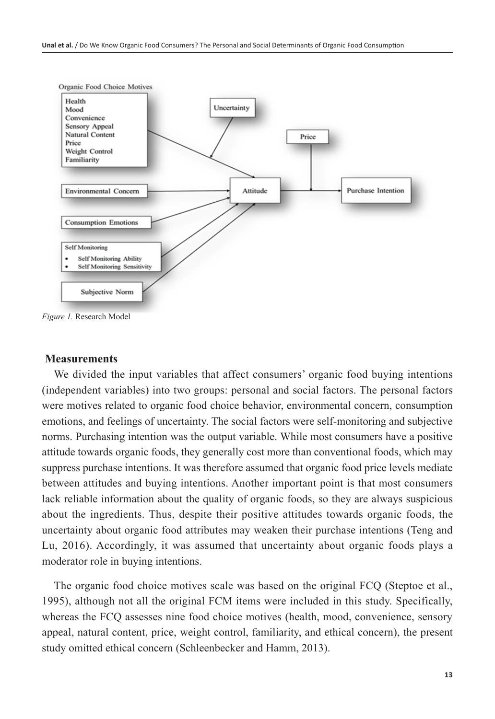

*Figure 1.* Research Model

#### **Measurements**

We divided the input variables that affect consumers' organic food buying intentions (independent variables) into two groups: personal and social factors. The personal factors were motives related to organic food choice behavior, environmental concern, consumption emotions, and feelings of uncertainty. The social factors were self-monitoring and subjective norms. Purchasing intention was the output variable. While most consumers have a positive attitude towards organic foods, they generally cost more than conventional foods, which may suppress purchase intentions. It was therefore assumed that organic food price levels mediate between attitudes and buying intentions. Another important point is that most consumers lack reliable information about the quality of organic foods, so they are always suspicious about the ingredients. Thus, despite their positive attitudes towards organic foods, the uncertainty about organic food attributes may weaken their purchase intentions (Teng and Lu, 2016). Accordingly, it was assumed that uncertainty about organic foods plays a moderator role in buying intentions.

The organic food choice motives scale was based on the original FCQ (Steptoe et al., 1995), although not all the original FCM items were included in this study. Specifically, whereas the FCQ assesses nine food choice motives (health, mood, convenience, sensory appeal, natural content, price, weight control, familiarity, and ethical concern), the present study omitted ethical concern (Schleenbecker and Hamm, 2013).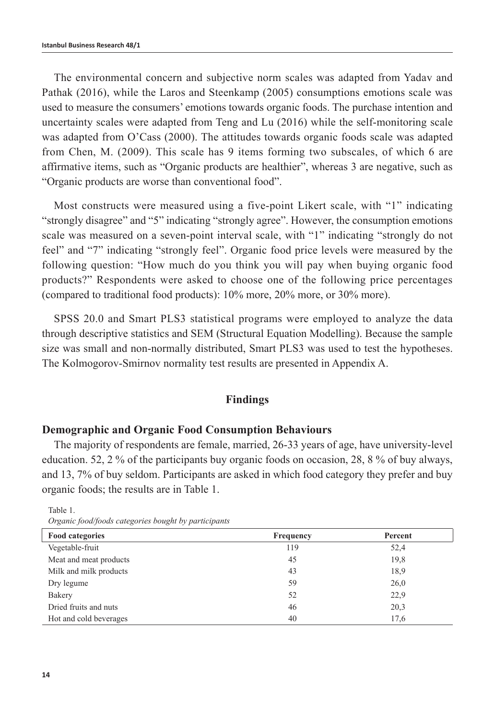The environmental concern and subjective norm scales was adapted from Yadav and Pathak (2016), while the Laros and Steenkamp (2005) consumptions emotions scale was used to measure the consumers' emotions towards organic foods. The purchase intention and uncertainty scales were adapted from Teng and Lu (2016) while the self-monitoring scale was adapted from O'Cass (2000). The attitudes towards organic foods scale was adapted from Chen, M. (2009). This scale has 9 items forming two subscales, of which 6 are affirmative items, such as "Organic products are healthier", whereas 3 are negative, such as "Organic products are worse than conventional food".

Most constructs were measured using a five-point Likert scale, with "1" indicating "strongly disagree" and "5" indicating "strongly agree". However, the consumption emotions scale was measured on a seven-point interval scale, with "1" indicating "strongly do not feel" and "7" indicating "strongly feel". Organic food price levels were measured by the following question: "How much do you think you will pay when buying organic food products?" Respondents were asked to choose one of the following price percentages (compared to traditional food products): 10% more, 20% more, or 30% more).

SPSS 20.0 and Smart PLS3 statistical programs were employed to analyze the data through descriptive statistics and SEM (Structural Equation Modelling). Because the sample size was small and non-normally distributed, Smart PLS3 was used to test the hypotheses. The Kolmogorov-Smirnov normality test results are presented in Appendix A.

#### **Findings**

#### **Demographic and Organic Food Consumption Behaviours**

The majority of respondents are female, married, 26-33 years of age, have university-level education. 52, 2 % of the participants buy organic foods on occasion, 28, 8 % of buy always, and 13, 7% of buy seldom. Participants are asked in which food category they prefer and buy organic foods; the results are in Table 1.

| <b>Food categories</b> | Frequency | Percent |
|------------------------|-----------|---------|
| Vegetable-fruit        | 119       | 52,4    |
| Meat and meat products | 45        | 19,8    |
| Milk and milk products | 43        | 18,9    |
| Dry legume             | 59        | 26,0    |
| Bakery                 | 52        | 22,9    |
| Dried fruits and nuts  | 46        | 20,3    |
| Hot and cold beverages | 40        | 17,6    |

Table 1. *Organic food/foods categories bought by participants*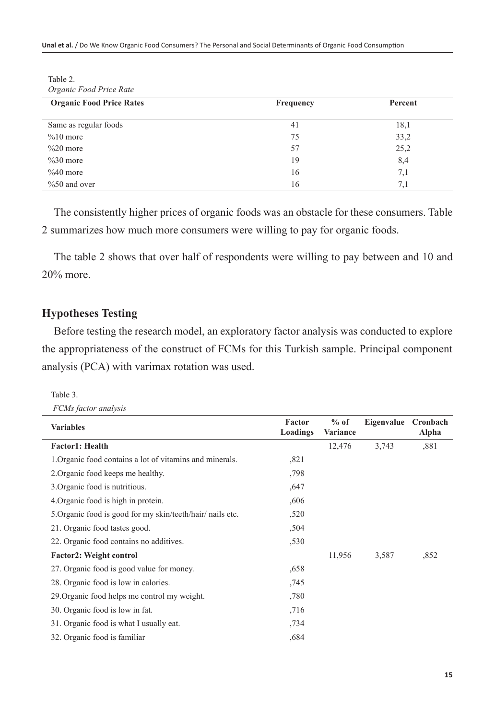**Unal et al.** / Do We Know Organic Food Consumers? The Personal and Social Determinants of Organic Food Consumption

Table 2.

The consistently higher prices of organic foods was an obstacle for these consumers. Table 2 summarizes how much more consumers were willing to pay for organic foods.

The table 2 shows that over half of respondents were willing to pay between and 10 and 20% more.

# **Hypotheses Testing**

Before testing the research model, an exploratory factor analysis was conducted to explore the appropriateness of the construct of FCMs for this Turkish sample. Principal component analysis (PCA) with varimax rotation was used.

Table 3. *FCMs factor analysis*

| <b>Variables</b>                                           | Factor<br>Loadings | $%$ of<br>Variance | Eigenvalue Cronbach | Alpha |
|------------------------------------------------------------|--------------------|--------------------|---------------------|-------|
| <b>Factor1: Health</b>                                     |                    | 12,476             | 3,743               | .881  |
| 1. Organic food contains a lot of vitamins and minerals.   | ,821               |                    |                     |       |
| 2. Organic food keeps me healthy.                          | ,798               |                    |                     |       |
| 3. Organic food is nutritious.                             | .647               |                    |                     |       |
| 4. Organic food is high in protein.                        | ,606               |                    |                     |       |
| 5. Organic food is good for my skin/teeth/hair/ nails etc. | ,520               |                    |                     |       |
| 21. Organic food tastes good.                              | ,504               |                    |                     |       |
| 22. Organic food contains no additives.                    | ,530               |                    |                     |       |
| <b>Factor2: Weight control</b>                             |                    | 11,956             | 3,587               | ,852  |
| 27. Organic food is good value for money.                  | ,658               |                    |                     |       |
| 28. Organic food is low in calories.                       | ,745               |                    |                     |       |
| 29. Organic food helps me control my weight.               | ,780               |                    |                     |       |
| 30. Organic food is low in fat.                            | ,716               |                    |                     |       |
| 31. Organic food is what I usually eat.                    | ,734               |                    |                     |       |
| 32. Organic food is familiar                               | ,684               |                    |                     |       |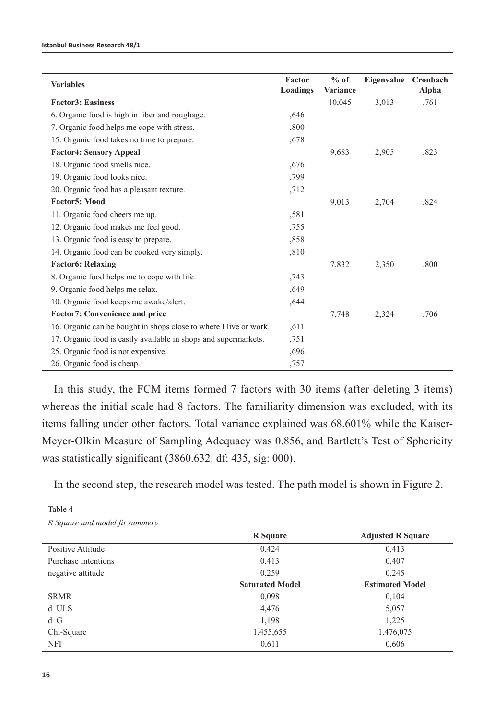|                                                                   | Factor   | $%$ of   | Eigenvalue Cronbach |       |
|-------------------------------------------------------------------|----------|----------|---------------------|-------|
| <b>Variables</b>                                                  | Loadings | Variance |                     | Alpha |
| <b>Factor3: Easiness</b>                                          |          | 10,045   | 3,013               | .761  |
| 6. Organic food is high in fiber and roughage.                    | ,646     |          |                     |       |
| 7. Organic food helps me cope with stress.                        | ,800     |          |                     |       |
| 15. Organic food takes no time to prepare.                        | ,678     |          |                     |       |
| <b>Factor4: Sensory Appeal</b>                                    |          | 9.683    | 2,905               | ,823  |
| 18. Organic food smells nice.                                     | ,676     |          |                     |       |
| 19. Organic food looks nice.                                      | ,799     |          |                     |       |
| 20. Organic food has a pleasant texture.                          | ,712     |          |                     |       |
| Factor5: Mood                                                     |          | 9,013    | 2,704               | ,824  |
| 11. Organic food cheers me up.                                    | ,581     |          |                     |       |
| 12. Organic food makes me feel good.                              | ,755     |          |                     |       |
| 13. Organic food is easy to prepare.                              | ,858     |          |                     |       |
| 14. Organic food can be cooked very simply.                       | ,810     |          |                     |       |
| <b>Factor6: Relaxing</b>                                          |          | 7.832    | 2,350               | ,800  |
| 8. Organic food helps me to cope with life.                       | ,743     |          |                     |       |
| 9. Organic food helps me relax.                                   | ,649     |          |                     |       |
| 10. Organic food keeps me awake/alert.                            | ,644     |          |                     |       |
| <b>Factor7: Convenience and price</b>                             |          | 7,748    | 2,324               | ,706  |
| 16. Organic can be bought in shops close to where I live or work. | .611     |          |                     |       |
| 17. Organic food is easily available in shops and supermarkets.   | ,751     |          |                     |       |
| 25. Organic food is not expensive.                                | .696     |          |                     |       |
| 26. Organic food is cheap.                                        | ,757     |          |                     |       |

In this study, the FCM items formed 7 factors with 30 items (after deleting 3 items) whereas the initial scale had 8 factors. The familiarity dimension was excluded, with its items falling under other factors. Total variance explained was 68.601% while the Kaiser-Meyer-Olkin Measure of Sampling Adequacy was 0.856, and Bartlett's Test of Sphericity was statistically significant (3860.632: df: 435, sig: 000).

In the second step, the research model was tested. The path model is shown in Figure 2.

|                     | <b>R</b> Square        | <b>Adjusted R Square</b> |
|---------------------|------------------------|--------------------------|
| Positive Attitude   | 0,424                  | 0,413                    |
| Purchase Intentions | 0,413                  | 0,407                    |
| negative attitude   | 0,259                  | 0.245                    |
|                     | <b>Saturated Model</b> | <b>Estimated Model</b>   |
| <b>SRMR</b>         | 0,098                  | 0,104                    |
| d ULS               | 4,476                  | 5,057                    |
| $d_G$               | 1,198                  | 1,225                    |
| Chi-Square          | 1.455,655              | 1.476,075                |
| NFI                 | 0,611                  | 0.606                    |

Table 4 *R Square and model fit summery*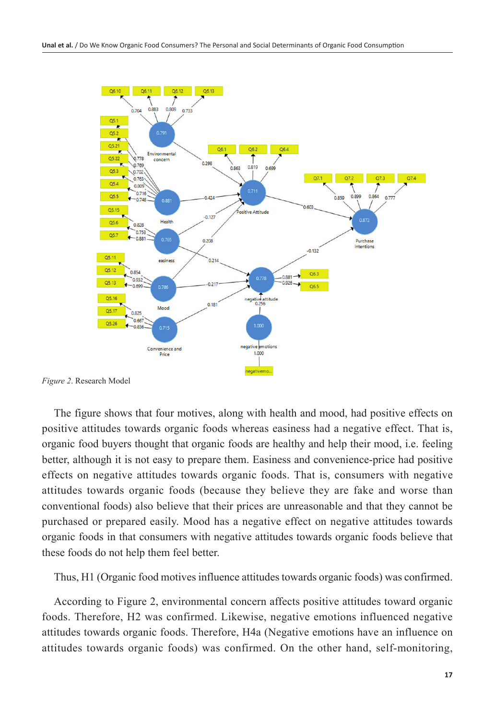

*Figure 2*. Research Model

The figure shows that four motives, along with health and mood, had positive effects on positive attitudes towards organic foods whereas easiness had a negative effect. That is, organic food buyers thought that organic foods are healthy and help their mood, i.e. feeling better, although it is not easy to prepare them. Easiness and convenience-price had positive effects on negative attitudes towards organic foods. That is, consumers with negative attitudes towards organic foods (because they believe they are fake and worse than conventional foods) also believe that their prices are unreasonable and that they cannot be purchased or prepared easily. Mood has a negative effect on negative attitudes towards organic foods in that consumers with negative attitudes towards organic foods believe that these foods do not help them feel better.

Thus, H1 (Organic food motives influence attitudes towards organic foods) was confirmed.

According to Figure 2, environmental concern affects positive attitudes toward organic foods. Therefore, H2 was confirmed. Likewise, negative emotions influenced negative attitudes towards organic foods. Therefore, H4a (Negative emotions have an influence on attitudes towards organic foods) was confirmed. On the other hand, self-monitoring,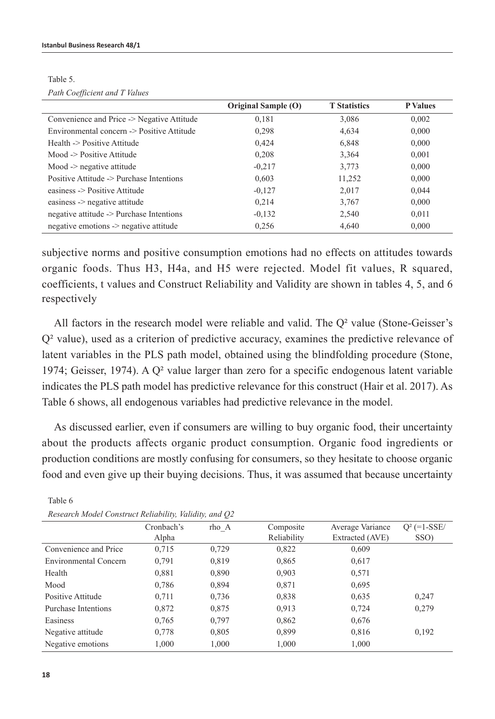|                                            | Original Sample (O) | <b>T</b> Statistics | <b>P</b> Values |
|--------------------------------------------|---------------------|---------------------|-----------------|
| Convenience and Price -> Negative Attitude | 0,181               | 3,086               | 0,002           |
| Environmental concern -> Positive Attitude | 0,298               | 4,634               | 0,000           |
| Health -> Positive Attitude                | 0,424               | 6,848               | 0,000           |
| Mood -> Positive Attitude                  | 0,208               | 3,364               | 0,001           |
| $Mood \rightarrow$ negative attitude       | $-0.217$            | 3,773               | 0,000           |
| Positive Attitude -> Purchase Intentions   | 0,603               | 11,252              | 0,000           |
| easiness -> Positive Attitude              | $-0,127$            | 2,017               | 0,044           |
| easiness -> negative attitude              | 0.214               | 3,767               | 0,000           |
| negative attitude -> Purchase Intentions   | $-0,132$            | 2,540               | 0,011           |
| negative emotions -> negative attitude     | 0.256               | 4,640               | 0.000           |

Table 5. *Path Coefficient and T Values*

subjective norms and positive consumption emotions had no effects on attitudes towards organic foods. Thus H3, H4a, and H5 were rejected. Model fit values, R squared, coefficients, t values and Construct Reliability and Validity are shown in tables 4, 5, and 6 respectively

All factors in the research model were reliable and valid. The  $Q<sup>2</sup>$  value (Stone-Geisser's Q² value), used as a criterion of predictive accuracy, examines the predictive relevance of latent variables in the PLS path model, obtained using the blindfolding procedure (Stone, 1974; Geisser, 1974). A  $Q<sup>2</sup>$  value larger than zero for a specific endogenous latent variable indicates the PLS path model has predictive relevance for this construct (Hair et al. 2017). As Table 6 shows, all endogenous variables had predictive relevance in the model.

As discussed earlier, even if consumers are willing to buy organic food, their uncertainty about the products affects organic product consumption. Organic food ingredients or production conditions are mostly confusing for consumers, so they hesitate to choose organic food and even give up their buying decisions. Thus, it was assumed that because uncertainty

| $\ldots$              |            |       |             |                  |                |
|-----------------------|------------|-------|-------------|------------------|----------------|
|                       | Cronbach's | rho A | Composite   | Average Variance | $Q^2$ (=1-SSE/ |
|                       | Alpha      |       | Reliability | Extracted (AVE)  | SSO)           |
| Convenience and Price | 0,715      | 0,729 | 0,822       | 0,609            |                |
| Environmental Concern | 0,791      | 0.819 | 0,865       | 0,617            |                |
| Health                | 0,881      | 0,890 | 0,903       | 0,571            |                |
| Mood                  | 0,786      | 0.894 | 0,871       | 0,695            |                |
| Positive Attitude     | 0,711      | 0,736 | 0,838       | 0,635            | 0,247          |
| Purchase Intentions   | 0,872      | 0,875 | 0,913       | 0,724            | 0,279          |
| Easiness              | 0,765      | 0,797 | 0,862       | 0,676            |                |
| Negative attitude     | 0,778      | 0.805 | 0.899       | 0.816            | 0.192          |
| Negative emotions     | 1,000      | 1,000 | 1,000       | 1,000            |                |

Table 6 *Research Model Construct Reliability, Validity, and Q2*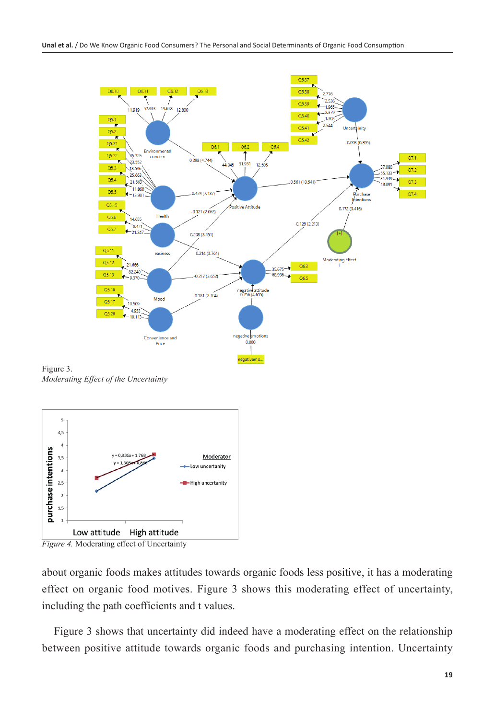

Figure 3. *Moderating Effect of the Uncertainty*



*Figure 4.* Moderating effect of Uncertainty

about organic foods makes attitudes towards organic foods less positive, it has a moderating effect on organic food motives. Figure 3 shows this moderating effect of uncertainty, including the path coefficients and t values.

Figure 3 shows that uncertainty did indeed have a moderating effect on the relationship between positive attitude towards organic foods and purchasing intention. Uncertainty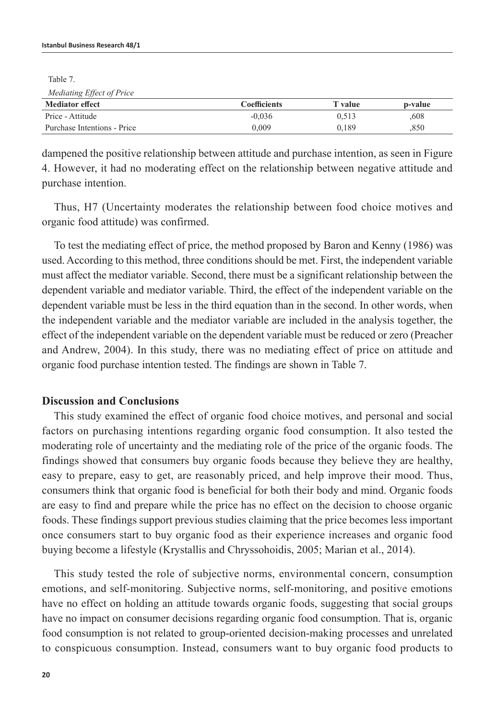Table 7.

| Mediating Effect of Price   |                     |                |         |
|-----------------------------|---------------------|----------------|---------|
| <b>Mediator effect</b>      | <b>Coefficients</b> | <b>T</b> value | p-value |
| Price - Attitude            | $-0.036$            | 0.513          | .608    |
| Purchase Intentions - Price | 0.009               | 0.189          | .850    |

dampened the positive relationship between attitude and purchase intention, as seen in Figure 4. However, it had no moderating effect on the relationship between negative attitude and purchase intention.

Thus, H7 (Uncertainty moderates the relationship between food choice motives and organic food attitude) was confirmed.

To test the mediating effect of price, the method proposed by Baron and Kenny (1986) was used. According to this method, three conditions should be met. First, the independent variable must affect the mediator variable. Second, there must be a significant relationship between the dependent variable and mediator variable. Third, the effect of the independent variable on the dependent variable must be less in the third equation than in the second. In other words, when the independent variable and the mediator variable are included in the analysis together, the effect of the independent variable on the dependent variable must be reduced or zero (Preacher and Andrew, 2004). In this study, there was no mediating effect of price on attitude and organic food purchase intention tested. The findings are shown in Table 7.

#### **Discussion and Conclusions**

This study examined the effect of organic food choice motives, and personal and social factors on purchasing intentions regarding organic food consumption. It also tested the moderating role of uncertainty and the mediating role of the price of the organic foods. The findings showed that consumers buy organic foods because they believe they are healthy, easy to prepare, easy to get, are reasonably priced, and help improve their mood. Thus, consumers think that organic food is beneficial for both their body and mind. Organic foods are easy to find and prepare while the price has no effect on the decision to choose organic foods. These findings support previous studies claiming that the price becomes less important once consumers start to buy organic food as their experience increases and organic food buying become a lifestyle (Krystallis and Chryssohoidis, 2005; Marian et al., 2014).

This study tested the role of subjective norms, environmental concern, consumption emotions, and self-monitoring. Subjective norms, self-monitoring, and positive emotions have no effect on holding an attitude towards organic foods, suggesting that social groups have no impact on consumer decisions regarding organic food consumption. That is, organic food consumption is not related to group-oriented decision-making processes and unrelated to conspicuous consumption. Instead, consumers want to buy organic food products to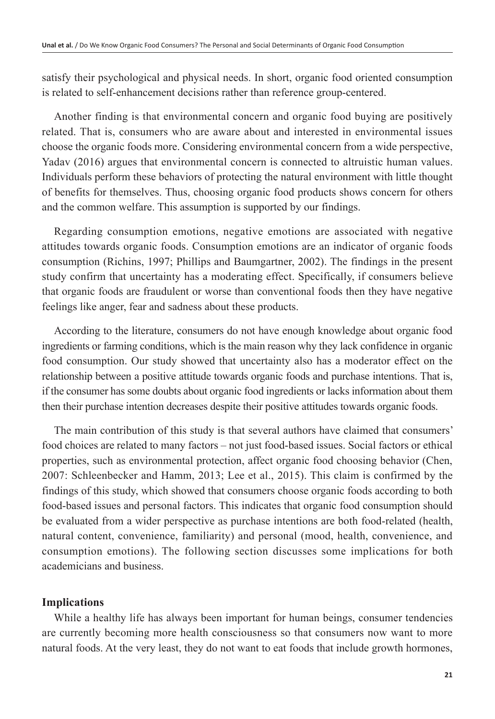satisfy their psychological and physical needs. In short, organic food oriented consumption is related to self-enhancement decisions rather than reference group-centered.

Another finding is that environmental concern and organic food buying are positively related. That is, consumers who are aware about and interested in environmental issues choose the organic foods more. Considering environmental concern from a wide perspective, Yadav (2016) argues that environmental concern is connected to altruistic human values. Individuals perform these behaviors of protecting the natural environment with little thought of benefits for themselves. Thus, choosing organic food products shows concern for others and the common welfare. This assumption is supported by our findings.

Regarding consumption emotions, negative emotions are associated with negative attitudes towards organic foods. Consumption emotions are an indicator of organic foods consumption (Richins, 1997; Phillips and Baumgartner, 2002). The findings in the present study confirm that uncertainty has a moderating effect. Specifically, if consumers believe that organic foods are fraudulent or worse than conventional foods then they have negative feelings like anger, fear and sadness about these products.

According to the literature, consumers do not have enough knowledge about organic food ingredients or farming conditions, which is the main reason why they lack confidence in organic food consumption. Our study showed that uncertainty also has a moderator effect on the relationship between a positive attitude towards organic foods and purchase intentions. That is, if the consumer has some doubts about organic food ingredients or lacks information about them then their purchase intention decreases despite their positive attitudes towards organic foods.

The main contribution of this study is that several authors have claimed that consumers' food choices are related to many factors – not just food-based issues. Social factors or ethical properties, such as environmental protection, affect organic food choosing behavior (Chen, 2007: Schleenbecker and Hamm, 2013; Lee et al., 2015). This claim is confirmed by the findings of this study, which showed that consumers choose organic foods according to both food-based issues and personal factors. This indicates that organic food consumption should be evaluated from a wider perspective as purchase intentions are both food-related (health, natural content, convenience, familiarity) and personal (mood, health, convenience, and consumption emotions). The following section discusses some implications for both academicians and business.

# **Implications**

While a healthy life has always been important for human beings, consumer tendencies are currently becoming more health consciousness so that consumers now want to more natural foods. At the very least, they do not want to eat foods that include growth hormones,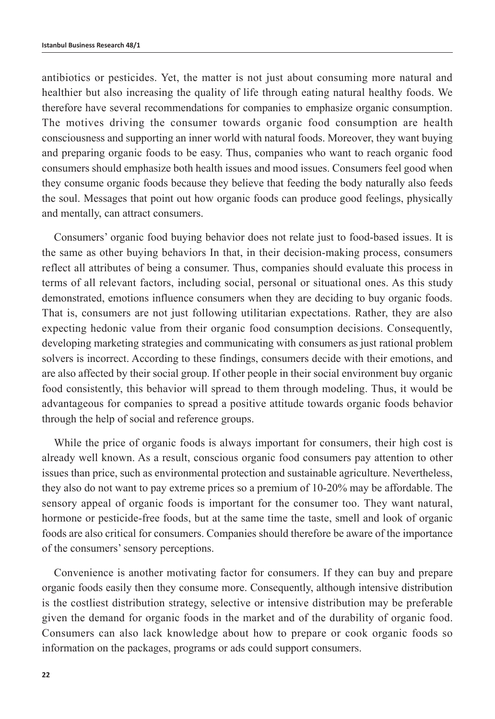antibiotics or pesticides. Yet, the matter is not just about consuming more natural and healthier but also increasing the quality of life through eating natural healthy foods. We therefore have several recommendations for companies to emphasize organic consumption. The motives driving the consumer towards organic food consumption are health consciousness and supporting an inner world with natural foods. Moreover, they want buying and preparing organic foods to be easy. Thus, companies who want to reach organic food consumers should emphasize both health issues and mood issues. Consumers feel good when they consume organic foods because they believe that feeding the body naturally also feeds the soul. Messages that point out how organic foods can produce good feelings, physically and mentally, can attract consumers.

Consumers' organic food buying behavior does not relate just to food-based issues. It is the same as other buying behaviors In that, in their decision-making process, consumers reflect all attributes of being a consumer. Thus, companies should evaluate this process in terms of all relevant factors, including social, personal or situational ones. As this study demonstrated, emotions influence consumers when they are deciding to buy organic foods. That is, consumers are not just following utilitarian expectations. Rather, they are also expecting hedonic value from their organic food consumption decisions. Consequently, developing marketing strategies and communicating with consumers as just rational problem solvers is incorrect. According to these findings, consumers decide with their emotions, and are also affected by their social group. If other people in their social environment buy organic food consistently, this behavior will spread to them through modeling. Thus, it would be advantageous for companies to spread a positive attitude towards organic foods behavior through the help of social and reference groups.

While the price of organic foods is always important for consumers, their high cost is already well known. As a result, conscious organic food consumers pay attention to other issues than price, such as environmental protection and sustainable agriculture. Nevertheless, they also do not want to pay extreme prices so a premium of 10-20% may be affordable. The sensory appeal of organic foods is important for the consumer too. They want natural, hormone or pesticide-free foods, but at the same time the taste, smell and look of organic foods are also critical for consumers. Companies should therefore be aware of the importance of the consumers' sensory perceptions.

Convenience is another motivating factor for consumers. If they can buy and prepare organic foods easily then they consume more. Consequently, although intensive distribution is the costliest distribution strategy, selective or intensive distribution may be preferable given the demand for organic foods in the market and of the durability of organic food. Consumers can also lack knowledge about how to prepare or cook organic foods so information on the packages, programs or ads could support consumers.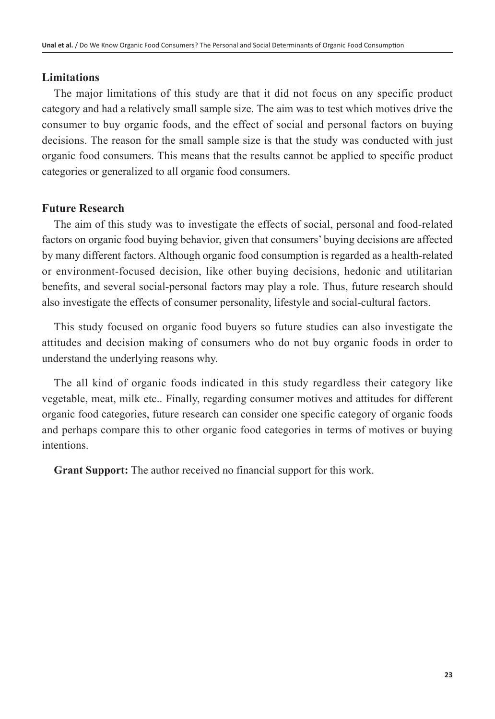#### **Limitations**

The major limitations of this study are that it did not focus on any specific product category and had a relatively small sample size. The aim was to test which motives drive the consumer to buy organic foods, and the effect of social and personal factors on buying decisions. The reason for the small sample size is that the study was conducted with just organic food consumers. This means that the results cannot be applied to specific product categories or generalized to all organic food consumers.

## **Future Research**

The aim of this study was to investigate the effects of social, personal and food-related factors on organic food buying behavior, given that consumers' buying decisions are affected by many different factors. Although organic food consumption is regarded as a health-related or environment-focused decision, like other buying decisions, hedonic and utilitarian benefits, and several social-personal factors may play a role. Thus, future research should also investigate the effects of consumer personality, lifestyle and social-cultural factors.

This study focused on organic food buyers so future studies can also investigate the attitudes and decision making of consumers who do not buy organic foods in order to understand the underlying reasons why.

The all kind of organic foods indicated in this study regardless their category like vegetable, meat, milk etc.. Finally, regarding consumer motives and attitudes for different organic food categories, future research can consider one specific category of organic foods and perhaps compare this to other organic food categories in terms of motives or buying intentions.

**Grant Support:** The author received no financial support for this work.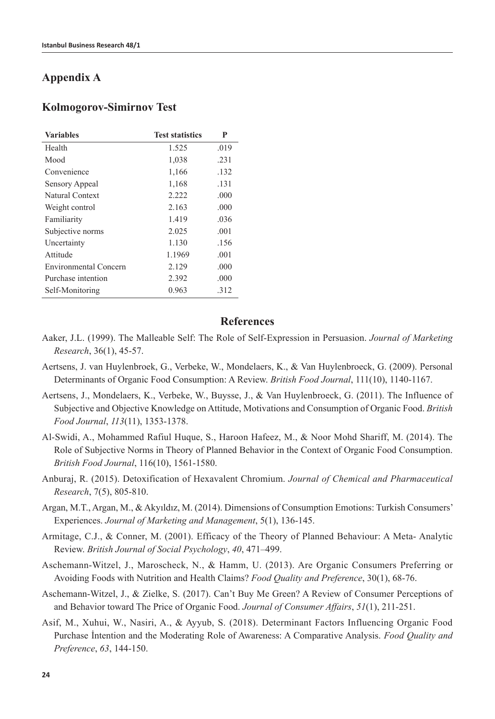# **Appendix A**

#### **Kolmogorov-Simirnov Test**

| <b>Variables</b>      | <b>Test statistics</b> | P    |
|-----------------------|------------------------|------|
| Health                | 1.525                  | .019 |
| Mood                  | 1,038                  | .231 |
| Convenience           | 1,166                  | .132 |
| Sensory Appeal        | 1,168                  | .131 |
| Natural Context       | 2.222                  | .000 |
| Weight control        | 2.163                  | .000 |
| Familiarity           | 1.419                  | .036 |
| Subjective norms      | 2.025                  | .001 |
| Uncertainty           | 1.130                  | .156 |
| Attitude              | 1.1969                 | .001 |
| Environmental Concern | 2.129                  | .000 |
| Purchase intention    | 2.392                  | .000 |
| Self-Monitoring       | 0.963                  | .312 |

#### **References**

- Aaker, J.L. (1999). The Malleable Self: The Role of Self-Expression in Persuasion. *Journal of Marketing Research*, 36(1), 45-57.
- Aertsens, J. van Huylenbroek, G., Verbeke, W., Mondelaers, K., & Van Huylenbroeck, G. (2009). Personal Determinants of Organic Food Consumption: A Review. *British Food Journal*, 111(10), 1140-1167.
- Aertsens, J., Mondelaers, K., Verbeke, W., Buysse, J., & Van Huylenbroeck, G. (2011). The Influence of Subjective and Objective Knowledge on Attitude, Motivations and Consumption of Organic Food. *British Food Journal*, *113*(11), 1353-1378.
- Al-Swidi, A., Mohammed Rafiul Huque, S., Haroon Hafeez, M., & Noor Mohd Shariff, M. (2014). The Role of Subjective Norms in Theory of Planned Behavior in the Context of Organic Food Consumption. *British Food Journal*, 116(10), 1561-1580.
- Anburaj, R. (2015). Detoxification of Hexavalent Chromium. *Journal of Chemical and Pharmaceutical Research*, 7(5), 805-810.
- Argan, M.T., Argan, M., & Akyıldız, M. (2014). Dimensions of Consumption Emotions: Turkish Consumers' Experiences. *Journal of Marketing and Management*, 5(1), 136-145.
- Armitage, C.J., & Conner, M. (2001). Efficacy of the Theory of Planned Behaviour: A Meta- Analytic Review. *British Journal of Social Psychology*, *40*, 471–499.
- Aschemann-Witzel, J., Maroscheck, N., & Hamm, U. (2013). Are Organic Consumers Preferring or Avoiding Foods with Nutrition and Health Claims? *Food Quality and Preference*, 30(1), 68-76.
- Aschemann‐Witzel, J., & Zielke, S. (2017). Can't Buy Me Green? A Review of Consumer Perceptions of and Behavior toward The Price of Organic Food. *Journal of Consumer Affairs*, *51*(1), 211-251.
- Asif, M., Xuhui, W., Nasiri, A., & Ayyub, S. (2018). Determinant Factors Influencing Organic Food Purchase İntention and the Moderating Role of Awareness: A Comparative Analysis. *Food Quality and Preference*, *63*, 144-150.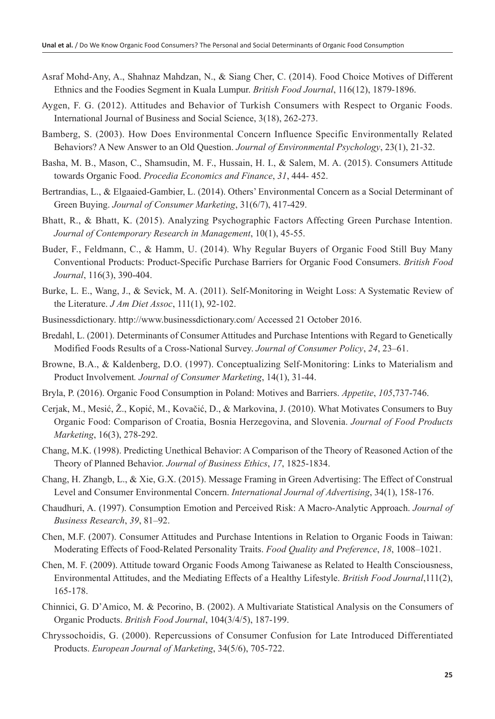- Asraf Mohd-Any, A., Shahnaz Mahdzan, N., & Siang Cher, C. (2014). Food Choice Motives of Different Ethnics and the Foodies Segment in Kuala Lumpur. *British Food Journal*, 116(12), 1879-1896.
- Aygen, F. G. (2012). Attitudes and Behavior of Turkish Consumers with Respect to Organic Foods. International Journal of Business and Social Science, 3(18), 262-273.
- Bamberg, S. (2003). How Does Environmental Concern Influence Specific Environmentally Related Behaviors? A New Answer to an Old Question. *Journal of Environmental Psychology*, 23(1), 21-32.
- Basha, M. B., Mason, C., Shamsudin, M. F., Hussain, H. I., & Salem, M. A. (2015). Consumers Attitude towards Organic Food. *Procedia Economics and Finance*, *31*, 444- 452.
- Bertrandias, L., & Elgaaied-Gambier, L. (2014). Others' Environmental Concern as a Social Determinant of Green Buying. *Journal of Consumer Marketing*, 31(6/7), 417-429.
- Bhatt, R., & Bhatt, K. (2015). Analyzing Psychographic Factors Affecting Green Purchase Intention. *Journal of Contemporary Research in Management*, 10(1), 45-55.
- Buder, F., Feldmann, C., & Hamm, U. (2014). Why Regular Buyers of Organic Food Still Buy Many Conventional Products: Product-Specific Purchase Barriers for Organic Food Consumers. *British Food Journal*, 116(3), 390-404.
- Burke, L. E., Wang, J., & Sevick, M. A. (2011). Self-Monitoring in Weight Loss: A Systematic Review of the Literature. *J Am Diet Assoc*, 111(1), 92-102.
- Businessdictionary. http://www.businessdictionary.com/ Accessed 21 October 2016.
- Bredahl, L. (2001). Determinants of Consumer Attitudes and Purchase Intentions with Regard to Genetically Modified Foods Results of a Cross-National Survey. *Journal of Consumer Policy*, *24*, 23–61.
- Browne, B.A., & Kaldenberg, D.O. (1997). Conceptualizing Self-Monitoring: Links to Materialism and Product Involvement*. Journal of Consumer Marketing*, 14(1), 31-44.
- Bryla, P. (2016). Organic Food Consumption in Poland: Motives and Barriers. *Appetite*, *105*,737-746.
- Cerjak, M., Mesić, Ž., Kopić, M., Kovačić, D., & Markovina, J. (2010). What Motivates Consumers to Buy Organic Food: Comparison of Croatia, Bosnia Herzegovina, and Slovenia. *Journal of Food Products Marketing*, 16(3), 278-292.
- Chang, M.K. (1998). Predicting Unethical Behavior: A Comparison of the Theory of Reasoned Action of the Theory of Planned Behavior. *Journal of Business Ethics*, *17*, 1825-1834.
- Chang, H. Zhangb, L., & Xie, G.X. (2015). Message Framing in Green Advertising: The Effect of Construal Level and Consumer Environmental Concern. *International Journal of Advertising*, 34(1), 158-176.
- Chaudhuri, A. (1997). Consumption Emotion and Perceived Risk: A Macro-Analytic Approach. *Journal of Business Research*, *39*, 81–92.
- Chen, M.F. (2007). Consumer Attitudes and Purchase Intentions in Relation to Organic Foods in Taiwan: Moderating Effects of Food-Related Personality Traits. *Food Quality and Preference*, *18*, 1008–1021.
- Chen, M. F. (2009). Attitude toward Organic Foods Among Taiwanese as Related to Health Consciousness, Environmental Attitudes, and the Mediating Effects of a Healthy Lifestyle. *British Food Journal*,111(2), 165-178.
- Chinnici, G. D'Amico, M. & Pecorino, B. (2002). A Multivariate Statistical Analysis on the Consumers of Organic Products. *British Food Journal*, 104(3/4/5), 187-199.
- Chryssochoidis, G. (2000). Repercussions of Consumer Confusion for Late Introduced Differentiated Products. *European Journal of Marketing*, 34(5/6), 705-722.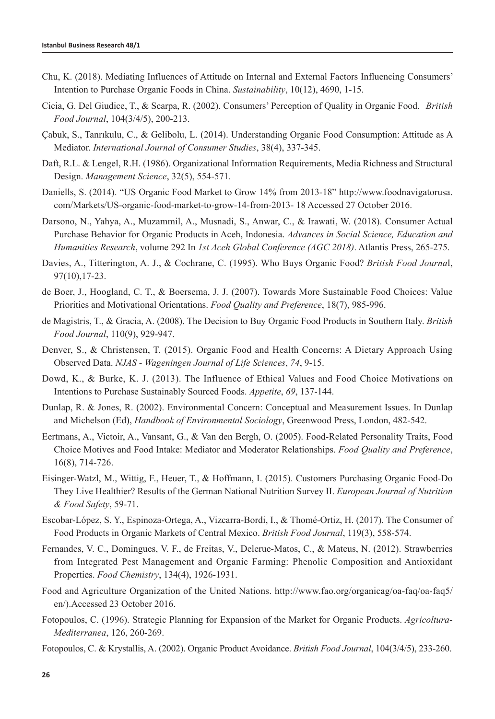- Chu, K. (2018). Mediating Influences of Attitude on Internal and External Factors Influencing Consumers' Intention to Purchase Organic Foods in China. *Sustainability*, 10(12), 4690, 1-15.
- Cicia, G. Del Giudice, T., & Scarpa, R. (2002). Consumers' Perception of Quality in Organic Food. *British Food Journal*, 104(3/4/5), 200-213.
- Çabuk, S., Tanrıkulu, C., & Gelibolu, L. (2014). Understanding Organic Food Consumption: Attitude as A Mediator. *International Journal of Consumer Studies*, 38(4), 337-345.
- Daft, R.L. & Lengel, R.H. (1986). Organizational Information Requirements, Media Richness and Structural Design. *Management Science*, 32(5), 554-571.
- Daniells, S. (2014). "US Organic Food Market to Grow 14% from 2013-18" http://www.foodnavigatorusa. com/Markets/US-organic-food-market-to-grow-14-from-2013- 18 Accessed 27 October 2016.
- Darsono, N., Yahya, A., Muzammil, A., Musnadi, S., Anwar, C., & Irawati, W. (2018). Consumer Actual Purchase Behavior for Organic Products in Aceh, Indonesia. *Advances in Social Science, Education and Humanities Research*, volume 292 In *1st Aceh Global Conference (AGC 2018)*. Atlantis Press, 265-275.
- Davies, A., Titterington, A. J., & Cochrane, C. (1995). Who Buys Organic Food? *British Food Journa*l, 97(10),17-23.
- de Boer, J., Hoogland, C. T., & Boersema, J. J. (2007). Towards More Sustainable Food Choices: Value Priorities and Motivational Orientations. *Food Quality and Preference*, 18(7), 985-996.
- de Magistris, T., & Gracia, A. (2008). The Decision to Buy Organic Food Products in Southern Italy. *British Food Journal*, 110(9), 929-947.
- Denver, S., & Christensen, T. (2015). Organic Food and Health Concerns: A Dietary Approach Using Observed Data. *NJAS - Wageningen Journal of Life Sciences*, *74*, 9-15.
- Dowd, K., & Burke, K. J. (2013). The Influence of Ethical Values and Food Choice Motivations on Intentions to Purchase Sustainably Sourced Foods. *Appetite*, *69*, 137-144.
- Dunlap, R. & Jones, R. (2002). Environmental Concern: Conceptual and Measurement Issues. In Dunlap and Michelson (Ed), *Handbook of Environmental Sociology*, Greenwood Press, London, 482-542.
- Eertmans, A., Victoir, A., Vansant, G., & Van den Bergh, O. (2005). Food-Related Personality Traits, Food Choice Motives and Food Intake: Mediator and Moderator Relationships. *Food Quality and Preference*, 16(8), 714-726.
- Eisinger-Watzl, M., Wittig, F., Heuer, T., & Hoffmann, I. (2015). Customers Purchasing Organic Food-Do They Live Healthier? Results of the German National Nutrition Survey II. *European Journal of Nutrition & Food Safety*, 59-71.
- Escobar-López, S. Y., Espinoza-Ortega, A., Vizcarra-Bordi, I., & Thomé-Ortiz, H. (2017). The Consumer of Food Products in Organic Markets of Central Mexico. *British Food Journal*, 119(3), 558-574.
- Fernandes, V. C., Domingues, V. F., de Freitas, V., Delerue-Matos, C., & Mateus, N. (2012). Strawberries from Integrated Pest Management and Organic Farming: Phenolic Composition and Antioxidant Properties. *Food Chemistry*, 134(4), 1926-1931.
- Food and Agriculture Organization of the United Nations. http://www.fao.org/organicag/oa-faq/oa-faq5/ en/).Accessed 23 October 2016.
- Fotopoulos, C. (1996). Strategic Planning for Expansion of the Market for Organic Products. *Agricoltura-Mediterranea*, 126, 260-269.
- Fotopoulos, C. & Krystallis, A. (2002). Organic Product Avoidance. *British Food Journal*, 104(3/4/5), 233-260.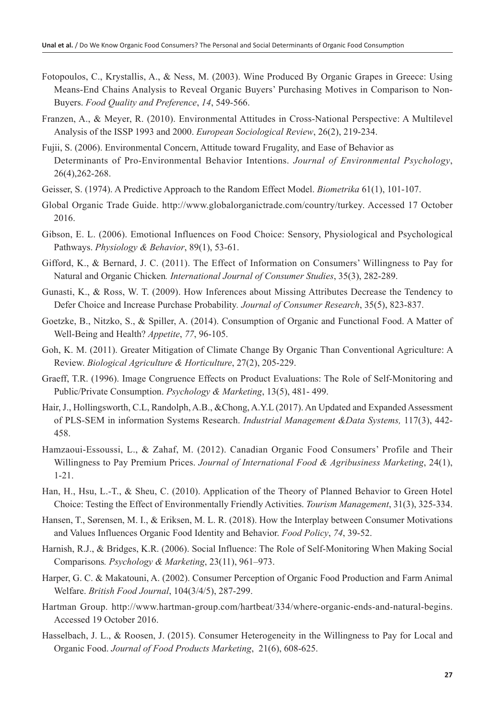- Fotopoulos, C., Krystallis, A., & Ness, M. (2003). Wine Produced By Organic Grapes in Greece: Using Means-End Chains Analysis to Reveal Organic Buyers' Purchasing Motives in Comparison to Non-Buyers. *Food Quality and Preference*, *14*, 549-566.
- Franzen, A., & Meyer, R. (2010). Environmental Attitudes in Cross-National Perspective: A Multilevel Analysis of the ISSP 1993 and 2000. *European Sociological Review*, 26(2), 219-234.
- Fujii, S. (2006). Environmental Concern, Attitude toward Frugality, and Ease of Behavior as Determinants of Pro-Environmental Behavior Intentions. *Journal of Environmental Psychology*, 26(4),262-268.
- Geisser, S. (1974). A Predictive Approach to the Random Effect Model. *Biometrika* 61(1), 101-107.
- Global Organic Trade Guide. http://www.globalorganictrade.com/country/turkey. Accessed 17 October 2016.
- Gibson, E. L. (2006). Emotional Influences on Food Choice: Sensory, Physiological and Psychological Pathways. *Physiology & Behavior*, 89(1), 53-61.
- Gifford, K., & Bernard, J. C. (2011). The Effect of Information on Consumers' Willingness to Pay for Natural and Organic Chicken*. International Journal of Consumer Studies*, 35(3), 282-289.
- Gunasti, K., & Ross, W. T. (2009). How Inferences about Missing Attributes Decrease the Tendency to Defer Choice and Increase Purchase Probability*. Journal of Consumer Research*, 35(5), 823-837.
- Goetzke, B., Nitzko, S., & Spiller, A. (2014). Consumption of Organic and Functional Food. A Matter of Well-Being and Health? *Appetite*, *77*, 96-105.
- Goh, K. M. (2011). Greater Mitigation of Climate Change By Organic Than Conventional Agriculture: A Review. *Biological Agriculture & Horticulture*, 27(2), 205-229.
- Graeff, T.R. (1996). Image Congruence Effects on Product Evaluations: The Role of Self-Monitoring and Public/Private Consumption. *Psychology & Marketing*, 13(5), 481- 499.
- Hair, J., Hollingsworth, C.L, Randolph, A.B., &Chong, A.Y.L (2017). An Updated and Expanded Assessment of PLS-SEM in information Systems Research. *Industrial Management &Data Systems,* 117(3), 442- 458.
- Hamzaoui-Essoussi, L., & Zahaf, M. (2012). Canadian Organic Food Consumers' Profile and Their Willingness to Pay Premium Prices. *Journal of International Food & Agribusiness Marketing*, 24(1), 1-21.
- Han, H., Hsu, L.-T., & Sheu, C. (2010). Application of the Theory of Planned Behavior to Green Hotel Choice: Testing the Effect of Environmentally Friendly Activities. *Tourism Management*, 31(3), 325-334.
- Hansen, T., Sørensen, M. I., & Eriksen, M. L. R. (2018). How the Interplay between Consumer Motivations and Values Influences Organic Food Identity and Behavior. *Food Policy*, *74*, 39-52.
- Harnish, R.J., & Bridges, K.R. (2006). Social Influence: The Role of Self-Monitoring When Making Social Comparisons*. Psychology & Marketing*, 23(11), 961–973.
- Harper, G. C. & Makatouni, A. (2002). Consumer Perception of Organic Food Production and Farm Animal Welfare. *British Food Journal*, 104(3/4/5), 287-299.
- Hartman Group. http://www.hartman-group.com/hartbeat/334/where-organic-ends-and-natural-begins. Accessed 19 October 2016.
- Hasselbach, J. L., & Roosen, J. (2015). Consumer Heterogeneity in the Willingness to Pay for Local and Organic Food. *Journal of Food Products Marketing*, 21(6), 608-625.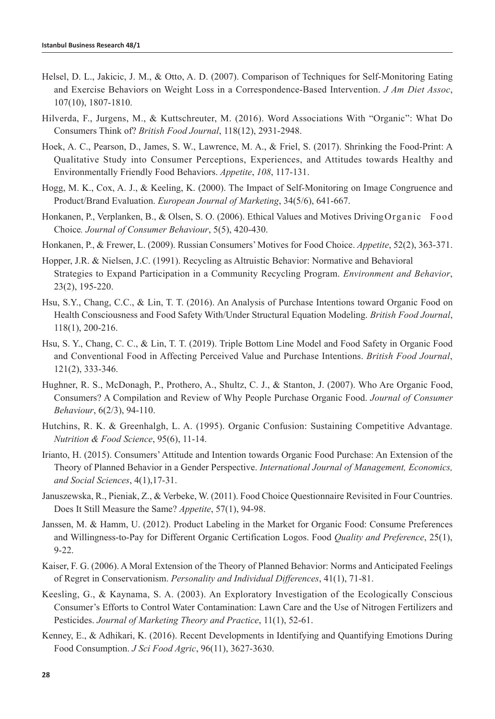- Helsel, D. L., Jakicic, J. M., & Otto, A. D. (2007). Comparison of Techniques for Self-Monitoring Eating and Exercise Behaviors on Weight Loss in a Correspondence-Based Intervention. *J Am Diet Assoc*, 107(10), 1807-1810.
- Hilverda, F., Jurgens, M., & Kuttschreuter, M. (2016). Word Associations With "Organic": What Do Consumers Think of? *British Food Journal*, 118(12), 2931-2948.
- Hoek, A. C., Pearson, D., James, S. W., Lawrence, M. A., & Friel, S. (2017). Shrinking the Food-Print: A Qualitative Study into Consumer Perceptions, Experiences, and Attitudes towards Healthy and Environmentally Friendly Food Behaviors. *Appetite*, *108*, 117-131.
- Hogg, M. K., Cox, A. J., & Keeling, K. (2000). The Impact of Self‐Monitoring on Image Congruence and Product/Brand Evaluation. *European Journal of Marketing*, 34(5/6), 641-667.
- Honkanen, P., Verplanken, B., & Olsen, S. O. (2006). Ethical Values and Motives DrivingOrganic Food Choice*. Journal of Consumer Behaviour*, 5(5), 420-430.
- Honkanen, P., & Frewer, L. (2009). Russian Consumers' Motives for Food Choice. *Appetite*, 52(2), 363-371.
- Hopper, J.R. & Nielsen, J.C. (1991). Recycling as Altruistic Behavior: Normative and Behavioral Strategies to Expand Participation in a Community Recycling Program. *Environment and Behavior*, 23(2), 195-220.
- Hsu, S.Y., Chang, C.C., & Lin, T. T. (2016). An Analysis of Purchase Intentions toward Organic Food on Health Consciousness and Food Safety With/Under Structural Equation Modeling. *British Food Journal*, 118(1), 200-216.
- Hsu, S. Y., Chang, C. C., & Lin, T. T. (2019). Triple Bottom Line Model and Food Safety in Organic Food and Conventional Food in Affecting Perceived Value and Purchase Intentions. *British Food Journal*, 121(2), 333-346.
- Hughner, R. S., McDonagh, P., Prothero, A., Shultz, C. J., & Stanton, J. (2007). Who Are Organic Food, Consumers? A Compilation and Review of Why People Purchase Organic Food. *Journal of Consumer Behaviour*, 6(2/3), 94-110.
- Hutchins, R. K. & Greenhalgh, L. A. (1995). Organic Confusion: Sustaining Competitive Advantage. *Nutrition & Food Science*, 95(6), 11-14.
- Irianto, H. (2015). Consumers' Attitude and Intention towards Organic Food Purchase: An Extension of the Theory of Planned Behavior in a Gender Perspective. *International Journal of Management, Economics, and Social Sciences*, 4(1),17-31.
- Januszewska, R., Pieniak, Z., & Verbeke, W. (2011). Food Choice Questionnaire Revisited in Four Countries. Does It Still Measure the Same? *Appetite*, 57(1), 94-98.
- Janssen, M. & Hamm, U. (2012). Product Labeling in the Market for Organic Food: Consume Preferences and Willingness-to-Pay for Different Organic Certification Logos. Food *Quality and Preference*, 25(1), 9-22.
- Kaiser, F. G. (2006). A Moral Extension of the Theory of Planned Behavior: Norms and Anticipated Feelings of Regret in Conservationism. *Personality and Individual Differences*, 41(1), 71-81.
- Keesling, G., & Kaynama, S. A. (2003). An Exploratory Investigation of the Ecologically Conscious Consumer's Efforts to Control Water Contamination: Lawn Care and the Use of Nitrogen Fertilizers and Pesticides. *Journal of Marketing Theory and Practice*, 11(1), 52-61.
- Kenney, E., & Adhikari, K. (2016). Recent Developments in Identifying and Quantifying Emotions During Food Consumption. *J Sci Food Agric*, 96(11), 3627-3630.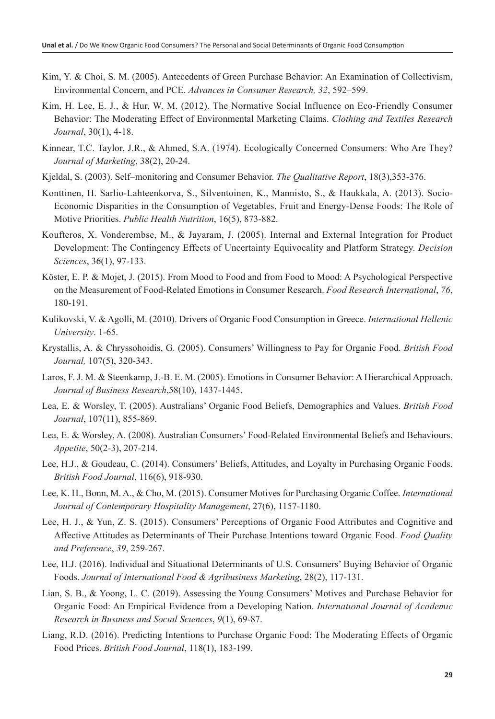- Kim, Y. & Choi, S. M. (2005). Antecedents of Green Purchase Behavior: An Examination of Collectivism, Environmental Concern, and PCE. *Advances in Consumer Research, 32*, 592–599.
- Kim, H. Lee, E. J., & Hur, W. M. (2012). The Normative Social Influence on Eco-Friendly Consumer Behavior: The Moderating Effect of Environmental Marketing Claims. *Clothing and Textiles Research Journal*, 30(1), 4-18.
- Kinnear, T.C. Taylor, J.R., & Ahmed, S.A. (1974). Ecologically Concerned Consumers: Who Are They? *Journal of Marketing*, 38(2), 20-24.
- Kjeldal, S. (2003). Self–monitoring and Consumer Behavior. *The Qualitative Report*, 18(3),353-376.
- Konttinen, H. Sarlio-Lahteenkorva, S., Silventoinen, K., Mannisto, S., & Haukkala, A. (2013). Socio-Economic Disparities in the Consumption of Vegetables, Fruit and Energy-Dense Foods: The Role of Motive Priorities. *Public Health Nutrition*, 16(5), 873-882.
- Koufteros, X. Vonderembse, M., & Jayaram, J. (2005). Internal and External Integration for Product Development: The Contingency Effects of Uncertainty Equivocality and Platform Strategy. *Decision Sciences*, 36(1), 97-133.
- Köster, E. P. & Mojet, J. (2015). From Mood to Food and from Food to Mood: A Psychological Perspective on the Measurement of Food-Related Emotions in Consumer Research. *Food Research International*, *76*, 180-191.
- Kulikovski, V. & Agolli, M. (2010). Drivers of Organic Food Consumption in Greece. *International Hellenic University*. 1-65.
- Krystallis, A. & Chryssohoidis, G. (2005). Consumers' Willingness to Pay for Organic Food. *British Food Journal,* 107(5), 320-343.
- Laros, F. J. M. & Steenkamp, J.-B. E. M. (2005). Emotions in Consumer Behavior: A Hierarchical Approach. *Journal of Business Research*,58(10), 1437-1445.
- Lea, E. & Worsley, T. (2005). Australians' Organic Food Beliefs, Demographics and Values. *British Food Journal*, 107(11), 855-869.
- Lea, E. & Worsley, A. (2008). Australian Consumers' Food-Related Environmental Beliefs and Behaviours. *Appetite*, 50(2-3), 207-214.
- Lee, H.J., & Goudeau, C. (2014). Consumers' Beliefs, Attitudes, and Loyalty in Purchasing Organic Foods. *British Food Journal*, 116(6), 918-930.
- Lee, K. H., Bonn, M. A., & Cho, M. (2015). Consumer Motives for Purchasing Organic Coffee. *International Journal of Contemporary Hospitality Management*, 27(6), 1157-1180.
- Lee, H. J., & Yun, Z. S. (2015). Consumers' Perceptions of Organic Food Attributes and Cognitive and Affective Attitudes as Determinants of Their Purchase Intentions toward Organic Food. *Food Quality and Preference*, *39*, 259-267.
- Lee, H.J. (2016). Individual and Situational Determinants of U.S. Consumers' Buying Behavior of Organic Foods. *Journal of International Food & Agribusiness Marketing*, 28(2), 117-131.
- Lian, S. B., & Yoong, L. C. (2019). Assessing the Young Consumers' Motives and Purchase Behavior for Organic Food: An Empirical Evidence from a Developing Nation. *Internatıonal Journal of Academıc Research in Busıness and Socıal Scıences*, *9*(1), 69-87.
- Liang, R.D. (2016). Predicting Intentions to Purchase Organic Food: The Moderating Effects of Organic Food Prices. *British Food Journal*, 118(1), 183-199.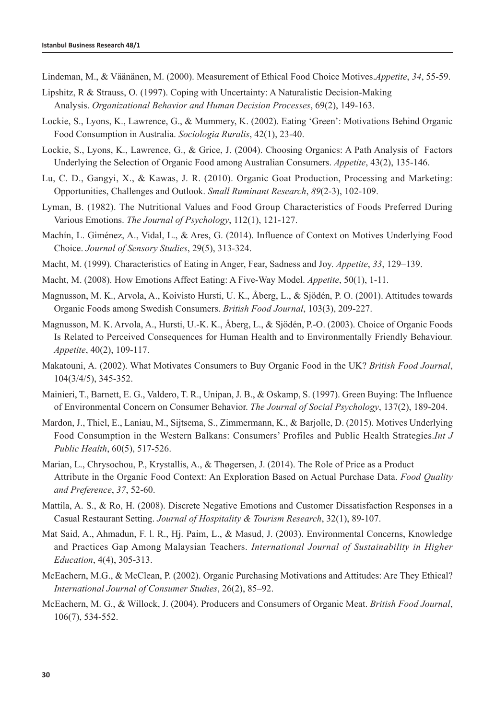- Lindeman, M., & Väänänen, M. (2000). Measurement of Ethical Food Choice Motives.*Appetite*, *34*, 55-59.
- Lipshitz, R & Strauss, O. (1997). Coping with Uncertainty: A Naturalistic Decision-Making Analysis. *Organizational Behavior and Human Decision Processes*, 69(2), 149-163.
- Lockie, S., Lyons, K., Lawrence, G., & Mummery, K. (2002). Eating 'Green': Motivations Behind Organic Food Consumption in Australia. *Sociologia Ruralis*, 42(1), 23-40.
- Lockie, S., Lyons, K., Lawrence, G., & Grice, J. (2004). Choosing Organics: A Path Analysis of Factors Underlying the Selection of Organic Food among Australian Consumers. *Appetite*, 43(2), 135-146.
- Lu, C. D., Gangyi, X., & Kawas, J. R. (2010). Organic Goat Production, Processing and Marketing: Opportunities, Challenges and Outlook. *Small Ruminant Research*, *89*(2-3), 102-109.
- Lyman, B. (1982). The Nutritional Values and Food Group Characteristics of Foods Preferred During Various Emotions. *The Journal of Psychology*, 112(1), 121-127.
- Machín, L. Giménez, A., Vidal, L., & Ares, G. (2014). Influence of Context on Motives Underlying Food Choice. *Journal of Sensory Studies*, 29(5), 313-324.
- Macht, M. (1999). Characteristics of Eating in Anger, Fear, Sadness and Joy. *Appetite*, *33*, 129–139.
- Macht, M. (2008). How Emotions Affect Eating: A Five-Way Model. *Appetite*, 50(1), 1-11.
- Magnusson, M. K., Arvola, A., Koivisto Hursti, U. K., Åberg, L., & Sjödén, P. O. (2001). Attitudes towards Organic Foods among Swedish Consumers. *British Food Journal*, 103(3), 209-227.
- Magnusson, M. K. Arvola, A., Hursti, U.-K. K., Åberg, L., & Sjödén, P.-O. (2003). Choice of Organic Foods Is Related to Perceived Consequences for Human Health and to Environmentally Friendly Behaviour. *Appetite*, 40(2), 109-117.
- Makatouni, A. (2002). What Motivates Consumers to Buy Organic Food in the UK? *British Food Journal*, 104(3/4/5), 345-352.
- Mainieri, T., Barnett, E. G., Valdero, T. R., Unipan, J. B., & Oskamp, S. (1997). Green Buying: The Influence of Environmental Concern on Consumer Behavior. *The Journal of Social Psychology*, 137(2), 189-204.
- Mardon, J., Thiel, E., Laniau, M., Sijtsema, S., Zimmermann, K., & Barjolle, D. (2015). Motives Underlying Food Consumption in the Western Balkans: Consumers' Profiles and Public Health Strategies.*Int J Public Health*, 60(5), 517-526.
- Marian, L., Chrysochou, P., Krystallis, A., & Thøgersen, J. (2014). The Role of Price as a Product Attribute in the Organic Food Context: An Exploration Based on Actual Purchase Data. *Food Quality and Preference*, *37*, 52-60.
- Mattila, A. S., & Ro, H. (2008). Discrete Negative Emotions and Customer Dissatisfaction Responses in a Casual Restaurant Setting. *Journal of Hospitality & Tourism Research*, 32(1), 89-107.
- Mat Said, A., Ahmadun, F. l. R., Hj. Paim, L., & Masud, J. (2003). Environmental Concerns, Knowledge and Practices Gap Among Malaysian Teachers. *International Journal of Sustainability in Higher Education*, 4(4), 305-313.
- McEachern, M.G., & McClean, P. (2002). Organic Purchasing Motivations and Attitudes: Are They Ethical? *International Journal of Consumer Studies*, 26(2), 85–92.
- McEachern, M. G., & Willock, J. (2004). Producers and Consumers of Organic Meat. *British Food Journal*, 106(7), 534-552.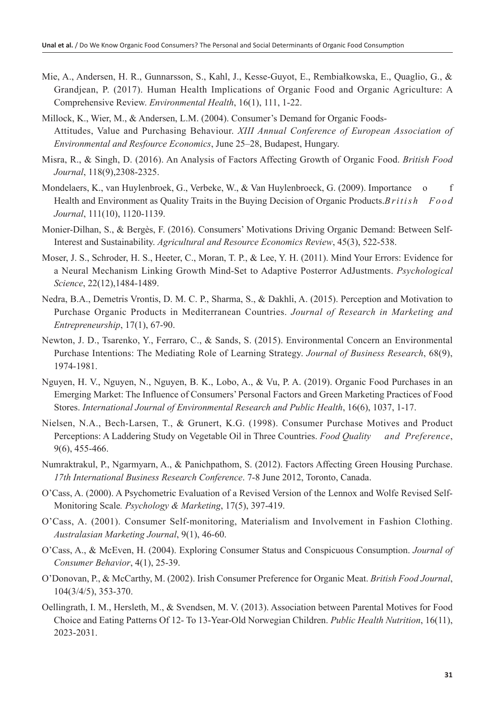- Mie, A., Andersen, H. R., Gunnarsson, S., Kahl, J., Kesse-Guyot, E., Rembiałkowska, E., Quaglio, G., & Grandjean, P. (2017). Human Health Implications of Organic Food and Organic Agriculture: A Comprehensive Review. *Environmental Health*, 16(1), 111, 1-22.
- Millock, K., Wier, M., & Andersen, L.M. (2004). Consumer's Demand for Organic Foods-Attitudes, Value and Purchasing Behaviour. *XIII Annual Conference of European Association of Environmental and Resfource Economics*, June 25–28, Budapest, Hungary.
- Misra, R., & Singh, D. (2016). An Analysis of Factors Affecting Growth of Organic Food. *British Food Journal*, 118(9),2308-2325.
- Mondelaers, K., van Huylenbroek, G., Verbeke, W., & Van Huylenbroeck, G. (2009). Importance o f Health and Environment as Quality Traits in the Buying Decision of Organic Products.*British Food Journal*, 111(10), 1120-1139.
- Monier-Dilhan, S., & Bergès, F. (2016). Consumers' Motivations Driving Organic Demand: Between Self-Interest and Sustainability. *Agricultural and Resource Economics Review*, 45(3), 522-538.
- Moser, J. S., Schroder, H. S., Heeter, C., Moran, T. P., & Lee, Y. H. (2011). Mind Your Errors: Evidence for a Neural Mechanism Linking Growth Mind-Set to Adaptive Posterror AdJustments. *Psychological Science*, 22(12),1484-1489.
- Nedra, B.A., Demetris Vrontis, D. M. C. P., Sharma, S., & Dakhli, A. (2015). Perception and Motivation to Purchase Organic Products in Mediterranean Countries. *Journal of Research in Marketing and Entrepreneurship*, 17(1), 67-90.
- Newton, J. D., Tsarenko, Y., Ferraro, C., & Sands, S. (2015). Environmental Concern an Environmental Purchase Intentions: The Mediating Role of Learning Strategy. *Journal of Business Research*, 68(9), 1974-1981.
- Nguyen, H. V., Nguyen, N., Nguyen, B. K., Lobo, A., & Vu, P. A. (2019). Organic Food Purchases in an Emerging Market: The Influence of Consumers' Personal Factors and Green Marketing Practices of Food Stores. *International Journal of Environmental Research and Public Health*, 16(6), 1037, 1-17.
- Nielsen, N.A., Bech-Larsen, T., & Grunert, K.G. (1998). Consumer Purchase Motives and Product Perceptions: A Laddering Study on Vegetable Oil in Three Countries. *Food Quality and Preference*, 9(6), 455-466.
- Numraktrakul, P., Ngarmyarn, A., & Panichpathom, S. (2012). Factors Affecting Green Housing Purchase. *17th International Business Research Conference*. 7-8 June 2012, Toronto, Canada.
- O'Cass, A. (2000). A Psychometric Evaluation of a Revised Version of the Lennox and Wolfe Revised Self-Monitoring Scale*. Psychology & Marketing*, 17(5), 397-419.
- O'Cass, A. (2001). Consumer Self-monitoring, Materialism and Involvement in Fashion Clothing. *Australasian Marketing Journal*, 9(1), 46-60.
- O'Cass, A., & McEven, H. (2004). Exploring Consumer Status and Conspicuous Consumption. *Journal of Consumer Behavior*, 4(1), 25-39.
- O'Donovan, P., & McCarthy, M. (2002). Irish Consumer Preference for Organic Meat. *British Food Journal*, 104(3/4/5), 353-370.
- Oellingrath, I. M., Hersleth, M., & Svendsen, M. V. (2013). Association between Parental Motives for Food Choice and Eating Patterns Of 12- To 13-Year-Old Norwegian Children. *Public Health Nutrition*, 16(11), 2023-2031.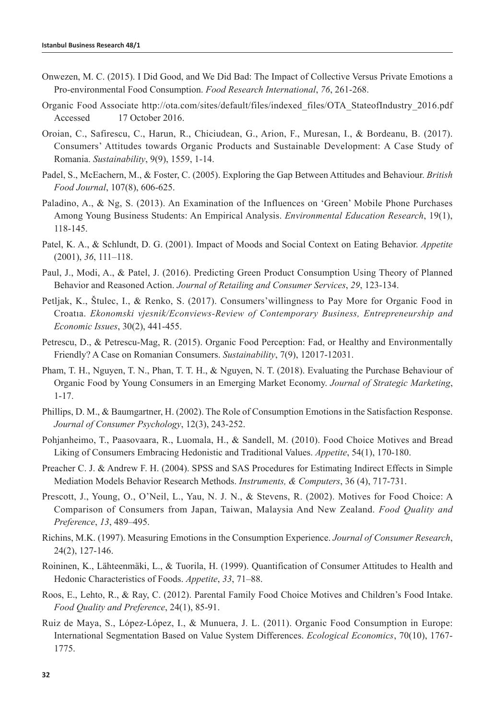- Onwezen, M. C. (2015). I Did Good, and We Did Bad: The Impact of Collective Versus Private Emotions a Pro-environmental Food Consumption. *Food Research International*, *76*, 261-268.
- Organic Food Associate http://ota.com/sites/default/files/indexed\_files/OTA\_StateofIndustry\_2016.pdf Accessed 17 October 2016.
- Oroian, C., Safirescu, C., Harun, R., Chiciudean, G., Arion, F., Muresan, I., & Bordeanu, B. (2017). Consumers' Attitudes towards Organic Products and Sustainable Development: A Case Study of Romania. *Sustainability*, 9(9), 1559, 1-14.
- Padel, S., McEachern, M., & Foster, C. (2005). Exploring the Gap Between Attitudes and Behaviour. *British Food Journal*, 107(8), 606-625.
- Paladino, A., & Ng, S. (2013). An Examination of the Influences on 'Green' Mobile Phone Purchases Among Young Business Students: An Empirical Analysis. *Environmental Education Research*, 19(1), 118-145.
- Patel, K. A., & Schlundt, D. G. (2001). Impact of Moods and Social Context on Eating Behavior. *Appetite* (2001), *36*, 111–118.
- Paul, J., Modi, A., & Patel, J. (2016). Predicting Green Product Consumption Using Theory of Planned Behavior and Reasoned Action. *Journal of Retailing and Consumer Services*, *29*, 123-134.
- Petljak, K., Štulec, I., & Renko, S. (2017). Consumers'willingness to Pay More for Organic Food in Croatıa. *Ekonomski vjesnik/Econviews-Review of Contemporary Business, Entrepreneurship and Economic Issues*, 30(2), 441-455.
- Petrescu, D., & Petrescu-Mag, R. (2015). Organic Food Perception: Fad, or Healthy and Environmentally Friendly? A Case on Romanian Consumers. *Sustainability*, 7(9), 12017-12031.
- Pham, T. H., Nguyen, T. N., Phan, T. T. H., & Nguyen, N. T. (2018). Evaluating the Purchase Behaviour of Organic Food by Young Consumers in an Emerging Market Economy. *Journal of Strategic Marketing*, 1-17.
- Phillips, D. M., & Baumgartner, H. (2002). The Role of Consumption Emotions in the Satisfaction Response. *Journal of Consumer Psychology*, 12(3), 243-252.
- Pohjanheimo, T., Paasovaara, R., Luomala, H., & Sandell, M. (2010). Food Choice Motives and Bread Liking of Consumers Embracing Hedonistic and Traditional Values. *Appetite*, 54(1), 170-180.
- Preacher C. J. & Andrew F. H. (2004). SPSS and SAS Procedures for Estimating Indirect Effects in Simple Mediation Models Behavior Research Methods. *Instruments, & Computers*, 36 (4), 717-731.
- Prescott, J., Young, O., O'Neil, L., Yau, N. J. N., & Stevens, R. (2002). Motives for Food Choice: A Comparison of Consumers from Japan, Taiwan, Malaysia And New Zealand. *Food Quality and Preference*, *13*, 489–495.
- Richins, M.K. (1997). Measuring Emotions in the Consumption Experience. *Journal of Consumer Research*, 24(2), 127-146.
- Roininen, K., Lähteenmäki, L., & Tuorila, H. (1999). Quantification of Consumer Attitudes to Health and Hedonic Characteristics of Foods. *Appetite*, *33*, 71–88.
- Roos, E., Lehto, R., & Ray, C. (2012). Parental Family Food Choice Motives and Children's Food Intake. *Food Quality and Preference*, 24(1), 85-91.
- Ruiz de Maya, S., López-López, I., & Munuera, J. L. (2011). Organic Food Consumption in Europe: International Segmentation Based on Value System Differences. *Ecological Economics*, 70(10), 1767- 1775.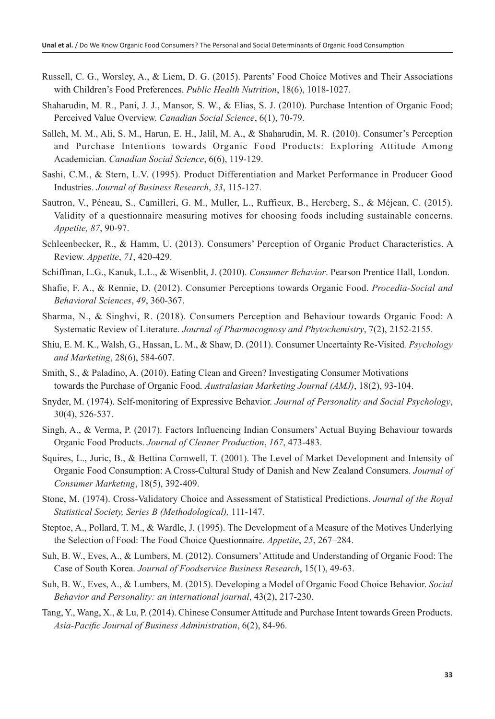- Russell, C. G., Worsley, A., & Liem, D. G. (2015). Parents' Food Choice Motives and Their Associations with Children's Food Preferences. *Public Health Nutrition*, 18(6), 1018-1027.
- Shaharudin, M. R., Pani, J. J., Mansor, S. W., & Elias, S. J. (2010). Purchase Intention of Organic Food; Perceived Value Overview. *Canadian Social Science*, 6(1), 70-79.
- Salleh, M. M., Ali, S. M., Harun, E. H., Jalil, M. A., & Shaharudin, M. R. (2010). Consumer's Perception and Purchase Intentions towards Organic Food Products: Exploring Attitude Among Academician. *Canadian Social Science*, 6(6), 119-129.
- Sashi, C.M., & Stern, L.V. (1995). Product Differentiation and Market Performance in Producer Good Industries. *Journal of Business Research*, *33*, 115-127.
- Sautron, V., Péneau, S., Camilleri, G. M., Muller, L., Ruffieux, B., Hercberg, S., & Méjean, C. (2015). Validity of a questionnaire measuring motives for choosing foods including sustainable concerns. *Appetite, 87*, 90-97.
- Schleenbecker, R., & Hamm, U. (2013). Consumers' Perception of Organic Product Characteristics. A Review. *Appetite*, *71*, 420-429.
- Schiffman, L.G., Kanuk, L.L., & Wisenblit, J. (2010). *Consumer Behavior*. Pearson Prentice Hall, London.
- Shafie, F. A., & Rennie, D. (2012). Consumer Perceptions towards Organic Food. *Procedia-Social and Behavioral Sciences*, *49*, 360-367.
- Sharma, N., & Singhvi, R. (2018). Consumers Perception and Behaviour towards Organic Food: A Systematic Review of Literature. *Journal of Pharmacognosy and Phytochemistry*, 7(2), 2152-2155.
- Shiu, E. M. K., Walsh, G., Hassan, L. M., & Shaw, D. (2011). Consumer Uncertainty Re-Visited*. Psychology and Marketing*, 28(6), 584-607.
- Smith, S., & Paladino, A. (2010). Eating Clean and Green? Investigating Consumer Motivations towards the Purchase of Organic Food. *Australasian Marketing Journal (AMJ)*, 18(2), 93-104.
- Snyder, M. (1974). Self-monitoring of Expressive Behavior. *Journal of Personality and Social Psychology*, 30(4), 526-537.
- Singh, A., & Verma, P. (2017). Factors Influencing Indian Consumers' Actual Buying Behaviour towards Organic Food Products. *Journal of Cleaner Production*, *167*, 473-483.
- Squires, L., Juric, B., & Bettina Cornwell, T. (2001). The Level of Market Development and Intensity of Organic Food Consumption: A Cross‐Cultural Study of Danish and New Zealand Consumers. *Journal of Consumer Marketing*, 18(5), 392-409.
- Stone, M. (1974). Cross-Validatory Choice and Assessment of Statistical Predictions. *Journal of the Royal Statistical Society, Series B (Methodological),* 111-147.
- Steptoe, A., Pollard, T. M., & Wardle, J. (1995). The Development of a Measure of the Motives Underlying the Selection of Food: The Food Choice Questionnaire. *Appetite*, *25*, 267–284.
- Suh, B. W., Eves, A., & Lumbers, M. (2012). Consumers' Attitude and Understanding of Organic Food: The Case of South Korea. *Journal of Foodservice Business Research*, 15(1), 49-63.
- Suh, B. W., Eves, A., & Lumbers, M. (2015). Developing a Model of Organic Food Choice Behavior. *Social Behavior and Personality: an international journal*, 43(2), 217-230.
- Tang, Y., Wang, X., & Lu, P. (2014). Chinese Consumer Attitude and Purchase Intent towards Green Products. *Asia-Pacific Journal of Business Administration*, 6(2), 84-96.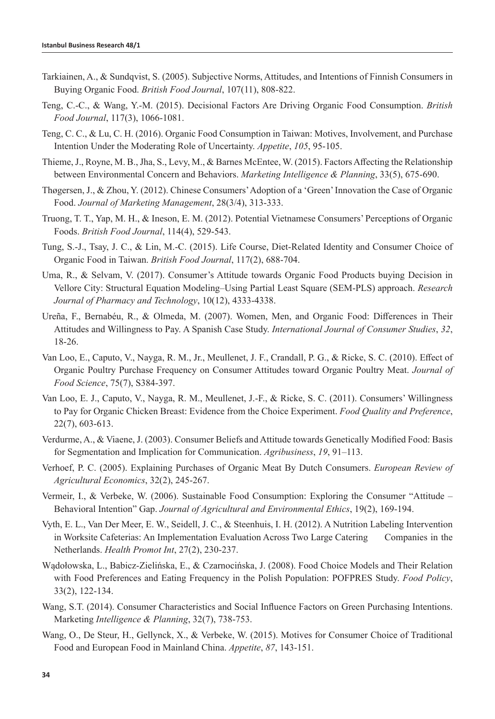- Tarkiainen, A., & Sundqvist, S. (2005). Subjective Norms, Attitudes, and Intentions of Finnish Consumers in Buying Organic Food. *British Food Journal*, 107(11), 808-822.
- Teng, C.-C., & Wang, Y.-M. (2015). Decisional Factors Are Driving Organic Food Consumption. *British Food Journal*, 117(3), 1066-1081.
- Teng, C. C., & Lu, C. H. (2016). Organic Food Consumption in Taiwan: Motives, Involvement, and Purchase Intention Under the Moderating Role of Uncertainty. *Appetite*, *105*, 95-105.
- Thieme, J., Royne, M. B., Jha, S., Levy, M., & Barnes McEntee, W. (2015). Factors Affecting the Relationship between Environmental Concern and Behaviors. *Marketing Intelligence & Planning*, 33(5), 675-690.
- Thøgersen, J., & Zhou, Y. (2012). Chinese Consumers' Adoption of a 'Green' Innovation the Case of Organic Food. *Journal of Marketing Management*, 28(3/4), 313-333.
- Truong, T. T., Yap, M. H., & Ineson, E. M. (2012). Potential Vietnamese Consumers' Perceptions of Organic Foods. *British Food Journal*, 114(4), 529-543.
- Tung, S.-J., Tsay, J. C., & Lin, M.-C. (2015). Life Course, Diet-Related Identity and Consumer Choice of Organic Food in Taiwan. *British Food Journal*, 117(2), 688-704.
- Uma, R., & Selvam, V. (2017). Consumer's Attitude towards Organic Food Products buying Decision in Vellore City: Structural Equation Modeling–Using Partial Least Square (SEM-PLS) approach. *Research Journal of Pharmacy and Technology*, 10(12), 4333-4338.
- Ureña, F., Bernabéu, R., & Olmeda, M. (2007). Women, Men, and Organic Food: Differences in Their Attitudes and Willingness to Pay. A Spanish Case Study. *International Journal of Consumer Studies*, *32*, 18-26.
- Van Loo, E., Caputo, V., Nayga, R. M., Jr., Meullenet, J. F., Crandall, P. G., & Ricke, S. C. (2010). Effect of Organic Poultry Purchase Frequency on Consumer Attitudes toward Organic Poultry Meat. *Journal of Food Science*, 75(7), S384-397.
- Van Loo, E. J., Caputo, V., Nayga, R. M., Meullenet, J.-F., & Ricke, S. C. (2011). Consumers' Willingness to Pay for Organic Chicken Breast: Evidence from the Choice Experiment. *Food Quality and Preference*, 22(7), 603-613.
- Verdurme, A., & Viaene, J. (2003). Consumer Beliefs and Attitude towards Genetically Modified Food: Basis for Segmentation and Implication for Communication. *Agribusiness*, *19*, 91–113.
- Verhoef, P. C. (2005). Explaining Purchases of Organic Meat By Dutch Consumers. *European Review of Agricultural Economics*, 32(2), 245-267.
- Vermeir, I., & Verbeke, W. (2006). Sustainable Food Consumption: Exploring the Consumer "Attitude Behavioral Intention" Gap. *Journal of Agricultural and Environmental Ethics*, 19(2), 169-194.
- Vyth, E. L., Van Der Meer, E. W., Seidell, J. C., & Steenhuis, I. H. (2012). A Nutrition Labeling Intervention in Worksite Cafeterias: An Implementation Evaluation Across Two Large Catering Companies in the Netherlands. *Health Promot Int*, 27(2), 230-237.
- Wądołowska, L., Babicz-Zielińska, E., & Czarnocińska, J. (2008). Food Choice Models and Their Relation with Food Preferences and Eating Frequency in the Polish Population: POFPRES Study. *Food Policy*, 33(2), 122-134.
- Wang, S.T. (2014). Consumer Characteristics and Social Influence Factors on Green Purchasing Intentions. Marketing *Intelligence & Planning*, 32(7), 738-753.
- Wang, O., De Steur, H., Gellynck, X., & Verbeke, W. (2015). Motives for Consumer Choice of Traditional Food and European Food in Mainland China. *Appetite*, *87*, 143-151.